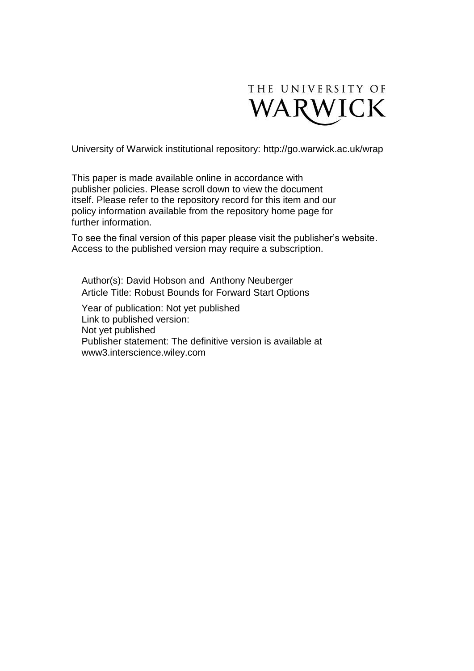

University of Warwick institutional repository:<http://go.warwick.ac.uk/wrap>

This paper is made available online in accordance with publisher policies. Please scroll down to view the document itself. Please refer to the repository record for this item and our policy information available from the repository home page for further information.

To see the final version of this paper please visit the publisher's website. Access to the published version may require a subscription.

Author(s): David Hobson and Anthony Neuberger Article Title: Robust Bounds for Forward Start Options

Year of publication: Not yet published Link to published version: Not yet published Publisher statement: The definitive version is available at www3.interscience.wiley.com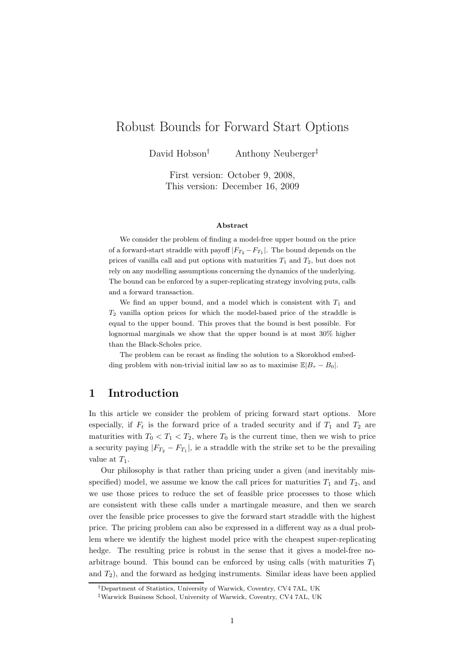# Robust Bounds for Forward Start Options

David Hobson<sup>†</sup> Anthony Neuberger<sup>‡</sup>

First version: October 9, 2008, This version: December 16, 2009

#### Abstract

We consider the problem of finding a model-free upper bound on the price of a forward-start straddle with payoff  $|F_{T_2} - F_{T_1}|$ . The bound depends on the prices of vanilla call and put options with maturities  $T_1$  and  $T_2$ , but does not rely on any modelling assumptions concerning the dynamics of the underlying. The bound can be enforced by a super-replicating strategy involving puts, calls and a forward transaction.

We find an upper bound, and a model which is consistent with  $T_1$  and  $T_2$  vanilla option prices for which the model-based price of the straddle is equal to the upper bound. This proves that the bound is best possible. For lognormal marginals we show that the upper bound is at most 30% higher than the Black-Scholes price.

The problem can be recast as finding the solution to a Skorokhod embedding problem with non-trivial initial law so as to maximise  $\mathbb{E}|B_{\tau} - B_0|$ .

### 1 Introduction

In this article we consider the problem of pricing forward start options. More especially, if  $F_t$  is the forward price of a traded security and if  $T_1$  and  $T_2$  are maturities with  $T_0 < T_1 < T_2$ , where  $T_0$  is the current time, then we wish to price a security paying  $|F_{T_2} - F_{T_1}|$ , ie a straddle with the strike set to be the prevailing value at  $T_1$ .

Our philosophy is that rather than pricing under a given (and inevitably misspecified) model, we assume we know the call prices for maturities  $T_1$  and  $T_2$ , and we use those prices to reduce the set of feasible price processes to those which are consistent with these calls under a martingale measure, and then we search over the feasible price processes to give the forward start straddle with the highest price. The pricing problem can also be expressed in a different way as a dual problem where we identify the highest model price with the cheapest super-replicating hedge. The resulting price is robust in the sense that it gives a model-free noarbitrage bound. This bound can be enforced by using calls (with maturities  $T_1$ and  $T_2$ ), and the forward as hedging instruments. Similar ideas have been applied

<sup>†</sup>Department of Statistics, University of Warwick, Coventry, CV4 7AL, UK

<sup>‡</sup>Warwick Business School, University of Warwick, Coventry, CV4 7AL, UK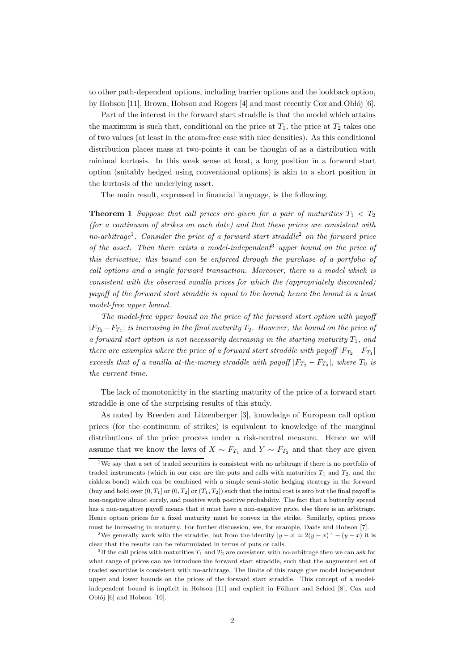to other path-dependent options, including barrier options and the lookback option, by Hobson  $[11]$ , Brown, Hobson and Rogers  $[4]$  and most recently Cox and Oblój  $[6]$ .

Part of the interest in the forward start straddle is that the model which attains the maximum is such that, conditional on the price at  $T_1$ , the price at  $T_2$  takes one of two values (at least in the atom-free case with nice densities). As this conditional distribution places mass at two-points it can be thought of as a distribution with minimal kurtosis. In this weak sense at least, a long position in a forward start option (suitably hedged using conventional options) is akin to a short position in the kurtosis of the underlying asset.

The main result, expressed in financial language, is the following.

**Theorem 1** Suppose that call prices are given for a pair of maturities  $T_1 < T_2$ (for a continuum of strikes on each date) and that these prices are consistent with no-arbitrage<sup>1</sup>. Consider the price of a forward start straddle<sup>2</sup> on the forward price of the asset. Then there exists a model-independent<sup>3</sup> upper bound on the price of this derivative; this bound can be enforced through the purchase of a portfolio of call options and a single forward transaction. Moreover, there is a model which is consistent with the observed vanilla prices for which the (appropriately discounted) payoff of the forward start straddle is equal to the bound; hence the bound is a least model-free upper bound.

The model-free upper bound on the price of the forward start option with payoff  $|F_{T_2} - F_{T_1}|$  is increasing in the final maturity  $T_2$ . However, the bound on the price of a forward start option is not necessarily decreasing in the starting maturity  $T_1$ , and there are examples where the price of a forward start straddle with payoff  $|F_{T_2} - F_{T_1}|$ exceeds that of a vanilla at-the-money straddle with payoff  $|F_{T_2} - F_{T_0}|$ , where  $T_0$  is the current time.

The lack of monotonicity in the starting maturity of the price of a forward start straddle is one of the surprising results of this study.

As noted by Breeden and Litzenberger [3], knowledge of European call option prices (for the continuum of strikes) is equivalent to knowledge of the marginal distributions of the price process under a risk-neutral measure. Hence we will assume that we know the laws of  $X \sim F_{T_1}$  and  $Y \sim F_{T_2}$  and that they are given

<sup>&</sup>lt;sup>1</sup>We say that a set of traded securities is consistent with no arbitrage if there is no portfolio of traded instruments (which in our case are the puts and calls with maturities  $T_1$  and  $T_2$ , and the riskless bond) which can be combined with a simple semi-static hedging strategy in the forward (buy and hold over  $(0, T_1]$  or  $(0, T_2]$  or  $(T_1, T_2]$ ) such that the initial cost is zero but the final payoff is non-negative almost surely, and positive with positive probability. The fact that a butterfly spread has a non-negative payoff means that it must have a non-negative price, else there is an arbitrage. Hence option prices for a fixed maturity must be convex in the strike. Similarly, option prices must be increasing in maturity. For further discussion, see, for example, Davis and Hobson [7].

<sup>&</sup>lt;sup>2</sup>We generally work with the straddle, but from the identity  $|y-x|=2(y-x)^+-(y-x)$  it is clear that the results can be reformulated in terms of puts or calls.

<sup>&</sup>lt;sup>3</sup>If the call prices with maturities  $T_1$  and  $T_2$  are consistent with no-arbitrage then we can ask for what range of prices can we introduce the forward start straddle, such that the augmented set of traded securities is consistent with no-arbitrage. The limits of this range give model independent upper and lower bounds on the prices of the forward start straddle. This concept of a modelindependent bound is implicit in Hobson  $[11]$  and explicit in Föllmer and Schied  $[8]$ , Cox and Obłój  $[6]$  and Hobson  $[10]$ .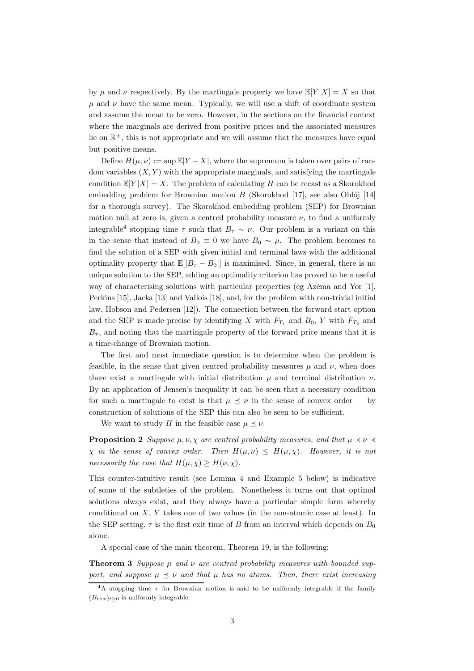by  $\mu$  and  $\nu$  respectively. By the martingale property we have  $\mathbb{E}[Y|X] = X$  so that  $\mu$  and  $\nu$  have the same mean. Typically, we will use a shift of coordinate system and assume the mean to be zero. However, in the sections on the financial context where the marginals are derived from positive prices and the associated measures lie on  $\mathbb{R}^+$ , this is not appropriate and we will assume that the measures have equal but positive means.

Define  $H(\mu, \nu) := \sup \mathbb{E}[Y - X]$ , where the supremum is taken over pairs of random variables  $(X, Y)$  with the appropriate marginals, and satisfying the martingale condition  $\mathbb{E}[Y|X] = X$ . The problem of calculating H can be recast as a Skorokhod embedding problem for Brownian motion  $B$  (Skorokhod [17], see also Obłój [14] for a thorough survey). The Skorokhod embedding problem (SEP) for Brownian motion null at zero is, given a centred probability measure  $\nu$ , to find a uniformly integrable<sup>4</sup> stopping time  $\tau$  such that  $B_{\tau} \sim \nu$ . Our problem is a variant on this in the sense that instead of  $B_0 \equiv 0$  we have  $B_0 \sim \mu$ . The problem becomes to find the solution of a SEP with given initial and terminal laws with the additional optimality property that  $\mathbb{E}[|B_{\tau} - B_0|]$  is maximised. Since, in general, there is no unique solution to the SEP, adding an optimality criterion has proved to be a useful way of characterising solutions with particular properties (eg Azéma and Yor  $[1]$ , Perkins [15], Jacka [13] and Vallois [18], and, for the problem with non-trivial initial law, Hobson and Pedersen [12]). The connection between the forward start option and the SEP is made precise by identifying X with  $F_{T_1}$  and  $B_0$ , Y with  $F_{T_2}$  and  $B_{\tau}$ , and noting that the martingale property of the forward price means that it is a time-change of Brownian motion.

The first and most immediate question is to determine when the problem is feasible, in the sense that given centred probability measures  $\mu$  and  $\nu$ , when does there exist a martingale with initial distribution  $\mu$  and terminal distribution  $\nu$ . By an application of Jensen's inequality it can be seen that a necessary condition for such a martingale to exist is that  $\mu \leq \nu$  in the sense of convex order — by construction of solutions of the SEP this can also be seen to be sufficient.

We want to study H in the feasible case  $\mu \prec \nu$ .

**Proposition 2** Suppose  $\mu$ ,  $\nu$ ,  $\chi$  are centred probability measures, and that  $\mu \prec \nu \prec$  $\chi$  in the sense of convex order. Then  $H(\mu, \nu) \leq H(\mu, \chi)$ . However, it is not necessarily the case that  $H(\mu, \chi) \geq H(\nu, \chi)$ .

This counter-intuitive result (see Lemma 4 and Example 5 below) is indicative of some of the subtleties of the problem. Nonetheless it turns out that optimal solutions always exist, and they always have a particular simple form whereby conditional on  $X, Y$  takes one of two values (in the non-atomic case at least). In the SEP setting,  $\tau$  is the first exit time of B from an interval which depends on  $B_0$ alone.

A special case of the main theorem, Theorem 19, is the following:

**Theorem 3** Suppose u and v are centred probability measures with bounded support, and suppose  $\mu \prec \nu$  and that  $\mu$  has no atoms. Then, there exist increasing

<sup>&</sup>lt;sup>4</sup>A stopping time  $\tau$  for Brownian motion is said to be uniformly integrable if the family  $(B_{t\wedge \tau})_{t>0}$  is uniformly integrable.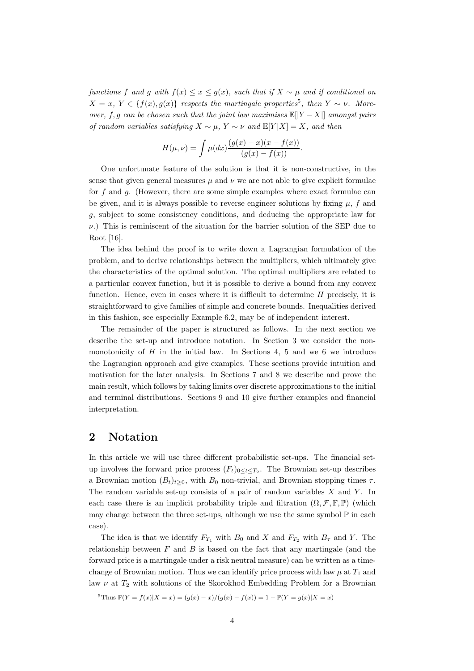functions f and q with  $f(x) \leq x \leq q(x)$ , such that if  $X \sim \mu$  and if conditional on  $X = x, Y \in \{f(x), g(x)\}\$  respects the martingale properties<sup>5</sup>, then  $Y \sim \nu$ . Moreover, f, g can be chosen such that the joint law maximises  $\mathbb{E}[|Y - X|]$  amongst pairs of random variables satisfying  $X \sim \mu$ ,  $Y \sim \nu$  and  $\mathbb{E}[Y|X] = X$ , and then

$$
H(\mu, \nu) = \int \mu(dx) \frac{(g(x) - x)(x - f(x))}{(g(x) - f(x))}.
$$

One unfortunate feature of the solution is that it is non-constructive, in the sense that given general measures  $\mu$  and  $\nu$  we are not able to give explicit formulae for f and q. (However, there are some simple examples where exact formulae can be given, and it is always possible to reverse engineer solutions by fixing  $\mu$ , f and g, subject to some consistency conditions, and deducing the appropriate law for  $\nu$ .) This is reminiscent of the situation for the barrier solution of the SEP due to Root [16].

The idea behind the proof is to write down a Lagrangian formulation of the problem, and to derive relationships between the multipliers, which ultimately give the characteristics of the optimal solution. The optimal multipliers are related to a particular convex function, but it is possible to derive a bound from any convex function. Hence, even in cases where it is difficult to determine  $H$  precisely, it is straightforward to give families of simple and concrete bounds. Inequalities derived in this fashion, see especially Example 6.2, may be of independent interest.

The remainder of the paper is structured as follows. In the next section we describe the set-up and introduce notation. In Section 3 we consider the nonmonotonicity of  $H$  in the initial law. In Sections 4, 5 and we 6 we introduce the Lagrangian approach and give examples. These sections provide intuition and motivation for the later analysis. In Sections 7 and 8 we describe and prove the main result, which follows by taking limits over discrete approximations to the initial and terminal distributions. Sections 9 and 10 give further examples and financial interpretation.

# 2 Notation

In this article we will use three different probabilistic set-ups. The financial setup involves the forward price process  $(F_t)_{0 \leq t \leq T_2}$ . The Brownian set-up describes a Brownian motion  $(B_t)_{t\geq0}$ , with  $B_0$  non-trivial, and Brownian stopping times  $\tau$ . The random variable set-up consists of a pair of random variables  $X$  and  $Y$ . In each case there is an implicit probability triple and filtration  $(\Omega, \mathcal{F}, \mathbb{F}, \mathbb{P})$  (which may change between the three set-ups, although we use the same symbol  $\mathbb P$  in each case).

The idea is that we identify  $F_{T_1}$  with  $B_0$  and X and  $F_{T_2}$  with  $B_{\tau}$  and Y. The relationship between  $F$  and  $B$  is based on the fact that any martingale (and the forward price is a martingale under a risk neutral measure) can be written as a timechange of Brownian motion. Thus we can identify price process with law  $\mu$  at  $T_1$  and law  $\nu$  at  $T_2$  with solutions of the Skorokhod Embedding Problem for a Brownian

 $\frac{5 \text{ Thus } \mathbb{P}(Y = f(x) | X = x) = (q(x) - x)/(q(x) - f(x)) = 1 - \mathbb{P}(Y = q(x) | X = x)$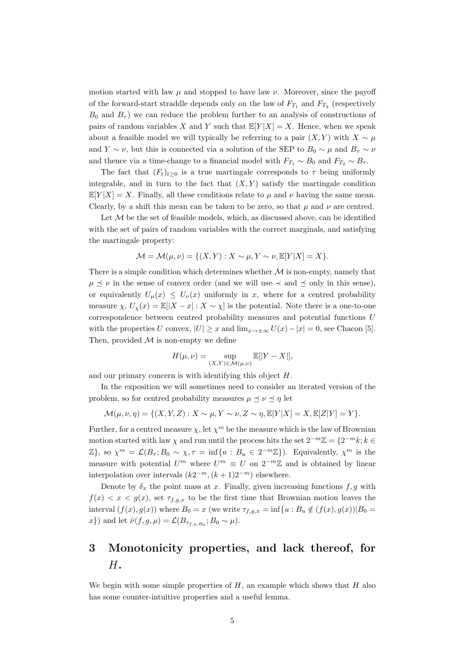motion started with law  $\mu$  and stopped to have law  $\nu$ . Moreover, since the payoff of the forward-start straddle depends only on the law of  $F_{T_1}$  and  $F_{T_2}$  (respectively  $B_0$  and  $B_\tau$ ) we can reduce the problem further to an analysis of constructions of pairs of random variables X and Y such that  $\mathbb{E}[Y|X] = X$ . Hence, when we speak about a feasible model we will typically be referring to a pair  $(X, Y)$  with  $X \sim \mu$ and  $Y \sim \nu$ , but this is connected via a solution of the SEP to  $B_0 \sim \mu$  and  $B_{\tau} \sim \nu$ and thence via a time-change to a financial model with  $F_{T_1} \sim B_0$  and  $F_{T_2} \sim B_{\tau}$ .

The fact that  $(F_t)_{t>0}$  is a true martingale corresponds to  $\tau$  being uniformly integrable, and in turn to the fact that  $(X, Y)$  satisfy the martingale condition  $\mathbb{E}[Y|X] = X$ . Finally, all these conditions relate to  $\mu$  and  $\nu$  having the same mean. Clearly, by a shift this mean can be taken to be zero, so that  $\mu$  and  $\nu$  are centred.

Let  $M$  be the set of feasible models, which, as discussed above, can be identified with the set of pairs of random variables with the correct marginals, and satisfying the martingale property:

$$
\mathcal{M} = \mathcal{M}(\mu, \nu) = \{ (X, Y) : X \sim \mu, Y \sim \nu, \mathbb{E}[Y|X] = X \}.
$$

There is a simple condition which determines whether  $M$  is non-empty, namely that  $\mu \preceq \nu$  in the sense of convex order (and we will use  $\prec$  and  $\preceq$  only in this sense), or equivalently  $U_{\mu}(x) \leq U_{\nu}(x)$  uniformly in x, where for a centred probability measure  $\chi, U_{\chi}(x) = \mathbb{E}[|X-x| : X \sim \chi]$  is the potential. Note there is a one-to-one correspondence between centred probability measures and potential functions U with the properties U convex,  $|U| \geq x$  and  $\lim_{x \to \pm \infty} U(x) - |x| = 0$ , see Chacon [5]. Then, provided  $M$  is non-empty we define

$$
H(\mu, \nu) = \sup_{(X, Y) \in \mathcal{M}(\mu, \nu)} \mathbb{E}[|Y - X|],
$$

and our primary concern is with identifying this object H.

In the exposition we will sometimes need to consider an iterated version of the problem, so for centred probability measures  $\mu \leq \nu \leq \eta$  let

$$
\mathcal{M}(\mu,\nu,\eta) = \{ (X,Y,Z) : X \sim \mu, Y \sim \nu, Z \sim \eta, \mathbb{E}[Y|X] = X, \mathbb{E}[Z|Y] = Y \}.
$$

Further, for a centred measure  $\chi$ , let  $\chi^m$  be the measure which is the law of Brownian motion started with law  $\chi$  and run until the process hits the set  $2^{-m}\mathbb{Z} = \{2^{-m}k; k \in \mathbb{Z}\}$  $\mathbb{Z}$ , so  $\chi^m = \mathcal{L}(B_\tau; B_0 \sim \chi, \tau = \inf\{u : B_u \in 2^{-m}\mathbb{Z}\})$ . Equivalently,  $\chi^m$  is the measure with potential  $U^m$  where  $U^m \equiv U$  on  $2^{-m}\mathbb{Z}$  and is obtained by linear interpolation over intervals  $(k2^{-m}, (k+1)2^{-m})$  elsewhere.

Denote by  $\delta_x$  the point mass at x. Finally, given increasing functions  $f, g$  with  $f(x) < x < g(x)$ , set  $\tau_{f,g,x}$  to be the first time that Brownian motion leaves the interval  $(f(x), g(x))$  where  $B_0 = x$  (we write  $\tau_{f,g,x} = \inf\{u : B_u \notin (f(x), g(x)) | B_0 =$ x}) and let  $\hat{\nu}(f, g, \mu) = \mathcal{L}(B_{\tau_{f,g,B_0}}; B_0 \sim \mu)$ .

# 3 Monotonicity properties, and lack thereof, for H.

We begin with some simple properties of  $H$ , an example which shows that  $H$  also has some counter-intuitive properties and a useful lemma.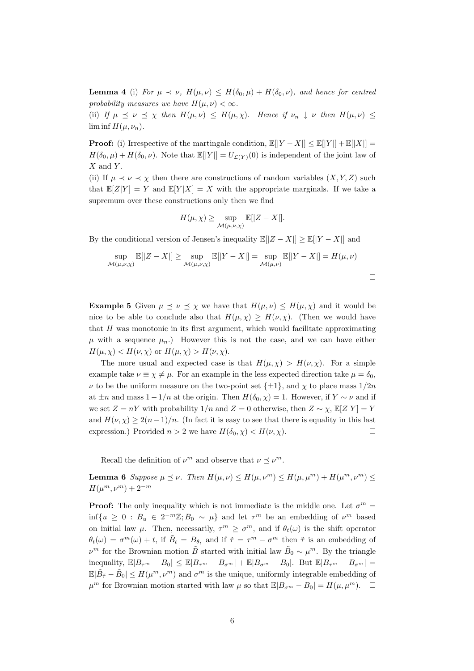**Lemma 4** (i) For  $\mu \prec \nu$ ,  $H(\mu, \nu) \leq H(\delta_0, \mu) + H(\delta_0, \nu)$ , and hence for centred probability measures we have  $H(\mu, \nu) < \infty$ .

(ii) If  $\mu \preceq \nu \preceq \chi$  then  $H(\mu, \nu) \preceq H(\mu, \chi)$ . Hence if  $\nu_n \downarrow \nu$  then  $H(\mu, \nu) \preceq \chi$  $\liminf H(\mu, \nu_n)$ .

**Proof:** (i) Irrespective of the martingale condition,  $\mathbb{E}[|Y - X|] \leq \mathbb{E}[|Y|] + \mathbb{E}[|X|] =$  $H(\delta_0, \mu) + H(\delta_0, \nu)$ . Note that  $\mathbb{E}[|Y|] = U_{\mathcal{L}(Y)}(0)$  is independent of the joint law of  $X$  and  $Y$ .

(ii) If  $\mu \prec \nu \prec \chi$  then there are constructions of random variables  $(X, Y, Z)$  such that  $\mathbb{E}[Z|Y] = Y$  and  $\mathbb{E}[Y|X] = X$  with the appropriate marginals. If we take a supremum over these constructions only then we find

$$
H(\mu, \chi) \ge \sup_{\mathcal{M}(\mu, \nu, \chi)} \mathbb{E}[|Z - X|].
$$

By the conditional version of Jensen's inequality  $\mathbb{E}[|Z - X|] \geq \mathbb{E}[|Y - X|]$  and

$$
\sup_{\mathcal{M}(\mu,\nu,\chi)} \mathbb{E}[|Z-X|] \ge \sup_{\mathcal{M}(\mu,\nu,\chi)} \mathbb{E}[|Y-X|] = \sup_{\mathcal{M}(\mu,\nu)} \mathbb{E}[|Y-X|] = H(\mu,\nu)
$$

**Example 5** Given  $\mu \leq \nu \leq \chi$  we have that  $H(\mu, \nu) \leq H(\mu, \chi)$  and it would be nice to be able to conclude also that  $H(\mu, \chi) \geq H(\nu, \chi)$ . (Then we would have that H was monotonic in its first argument, which would facilitate approximating  $\mu$  with a sequence  $\mu_n$ .) However this is not the case, and we can have either  $H(\mu, \chi) < H(\nu, \chi)$  or  $H(\mu, \chi) > H(\nu, \chi)$ .

The more usual and expected case is that  $H(\mu, \chi) > H(\nu, \chi)$ . For a simple example take  $\nu \equiv \chi \neq \mu$ . For an example in the less expected direction take  $\mu = \delta_0$ ,  $\nu$  to be the uniform measure on the two-point set  $\{\pm 1\}$ , and  $\chi$  to place mass  $1/2n$ at  $\pm n$  and mass  $1-1/n$  at the origin. Then  $H(\delta_0, \chi) = 1$ . However, if  $Y \sim \nu$  and if we set  $Z = nY$  with probability  $1/n$  and  $Z = 0$  otherwise, then  $Z \sim \chi$ ,  $\mathbb{E}[Z|Y] = Y$ and  $H(\nu, \chi) \geq 2(n-1)/n$ . (In fact it is easy to see that there is equality in this last expression.) Provided  $n > 2$  we have  $H(\delta_0, \chi) < H(\nu, \chi)$ .

Recall the definition of  $\nu^m$  and observe that  $\nu \preceq \nu^m$ .

**Lemma 6** Suppose  $\mu \preceq \nu$ . Then  $H(\mu, \nu) \leq H(\mu, \nu^m) \leq H(\mu, \mu^m) + H(\mu^m, \nu^m) \leq$  $H(\mu^m, \nu^m) + 2^{-m}$ 

**Proof:** The only inequality which is not immediate is the middle one. Let  $\sigma^m$  =  $\inf\{u \geq 0 : B_u \in 2^{-m}\mathbb{Z}; B_0 \sim \mu\}$  and let  $\tau^m$  be an embedding of  $\nu^m$  based on initial law  $\mu$ . Then, necessarily,  $\tau^m \geq \sigma^m$ , and if  $\theta_t(\omega)$  is the shift operator  $\theta_t(\omega) = \sigma^m(\omega) + t$ , if  $\tilde{B}_t = B_{\theta_t}$  and if  $\tilde{\tau} = \tau^m - \sigma^m$  then  $\tilde{\tau}$  is an embedding of  $\nu^m$  for the Brownian motion  $\tilde{B}$  started with initial law  $\tilde{B}_0 \sim \mu^m$ . By the triangle inequality,  $\mathbb{E}|B_{\tau^m} - B_0| \leq \mathbb{E}|B_{\tau^m} - B_{\sigma^m}| + \mathbb{E}|B_{\sigma^m} - B_0|$ . But  $\mathbb{E}|B_{\tau^m} - B_{\sigma^m}| =$  $\mathbb{E}|\tilde{B}_{\tilde{\tau}} - \tilde{B}_0| \leq H(\mu^m, \nu^m)$  and  $\sigma^m$  is the unique, uniformly integrable embedding of  $\mu^m$  for Brownian motion started with law  $\mu$  so that  $\mathbb{E}|B_{\sigma^m} - B_0| = H(\mu, \mu^m)$ .  $\Box$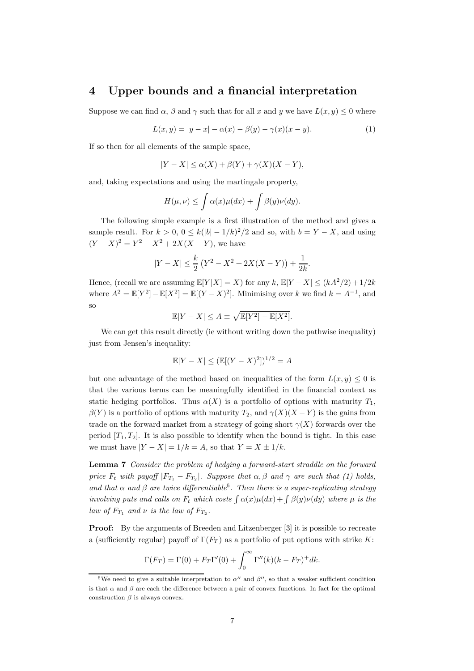### 4 Upper bounds and a financial interpretation

Suppose we can find  $\alpha$ ,  $\beta$  and  $\gamma$  such that for all x and y we have  $L(x, y) \leq 0$  where

$$
L(x, y) = |y - x| - \alpha(x) - \beta(y) - \gamma(x)(x - y).
$$
 (1)

If so then for all elements of the sample space,

$$
|Y - X| \le \alpha(X) + \beta(Y) + \gamma(X)(X - Y),
$$

and, taking expectations and using the martingale property,

$$
H(\mu,\nu) \leq \int \alpha(x)\mu(dx) + \int \beta(y)\nu(dy).
$$

The following simple example is a first illustration of the method and gives a sample result. For  $k > 0$ ,  $0 \le k(|b| - 1/k)^2/2$  and so, with  $b = Y - X$ , and using  $(Y - X)^2 = Y^2 - X^2 + 2X(X - Y)$ , we have

$$
|Y - X| \le \frac{k}{2} (Y^2 - X^2 + 2X(X - Y)) + \frac{1}{2k}.
$$

Hence, (recall we are assuming  $\mathbb{E}[Y|X] = X$ ) for any k,  $\mathbb{E}[Y - X] \leq (kA^2/2) + 1/2k$ where  $A^2 = \mathbb{E}[Y^2] - \mathbb{E}[X^2] = \mathbb{E}[(Y - X)^2]$ . Minimising over k we find  $k = A^{-1}$ , and so

$$
\mathbb{E}|Y - X| \le A \equiv \sqrt{\mathbb{E}[Y^2] - \mathbb{E}[X^2]}.
$$

We can get this result directly (ie without writing down the pathwise inequality) just from Jensen's inequality:

$$
\mathbb{E}|Y - X| \le (\mathbb{E}[(Y - X)^2])^{1/2} = A
$$

but one advantage of the method based on inequalities of the form  $L(x, y) \leq 0$  is that the various terms can be meaningfully identified in the financial context as static hedging portfolios. Thus  $\alpha(X)$  is a portfolio of options with maturity  $T_1$ ,  $\beta(Y)$  is a portfolio of options with maturity  $T_2$ , and  $\gamma(X)(X - Y)$  is the gains from trade on the forward market from a strategy of going short  $\gamma(X)$  forwards over the period  $[T_1, T_2]$ . It is also possible to identify when the bound is tight. In this case we must have  $|Y - X| = 1/k = A$ , so that  $Y = X \pm 1/k$ .

Lemma 7 Consider the problem of hedging a forward-start straddle on the forward price  $F_t$  with payoff  $|F_{T_1} - F_{T_2}|$ . Suppose that  $\alpha, \beta$  and  $\gamma$  are such that (1) holds, and that  $\alpha$  and  $\beta$  are twice differentiable<sup>6</sup>. Then there is a super-replicating strategy involving puts and calls on  $F_t$  which costs  $\int \alpha(x)\mu(dx) + \int \beta(y)\nu(dy)$  where  $\mu$  is the law of  $F_{T_1}$  and  $\nu$  is the law of  $F_{T_2}$ .

Proof: By the arguments of Breeden and Litzenberger [3] it is possible to recreate a (sufficiently regular) payoff of  $\Gamma(F_T)$  as a portfolio of put options with strike K:

$$
\Gamma(F_T) = \Gamma(0) + F_T \Gamma'(0) + \int_0^\infty \Gamma''(k)(k - F_T)^+ dk.
$$

<sup>&</sup>lt;sup>6</sup>We need to give a suitable interpretation to  $\alpha''$  and  $\beta''$ , so that a weaker sufficient condition is that  $\alpha$  and  $\beta$  are each the difference between a pair of convex functions. In fact for the optimal construction  $\beta$  is always convex.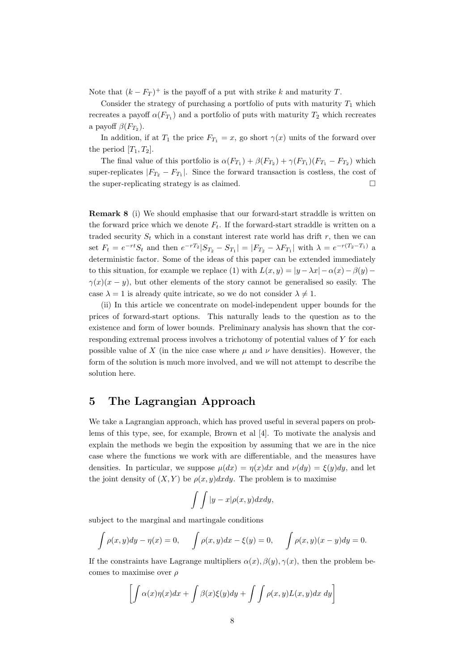Note that  $(k - F_T)^+$  is the payoff of a put with strike k and maturity T.

Consider the strategy of purchasing a portfolio of puts with maturity  $T_1$  which recreates a payoff  $\alpha(F_{T_1})$  and a portfolio of puts with maturity  $T_2$  which recreates a payoff  $\beta(F_{T_2})$ .

In addition, if at  $T_1$  the price  $F_{T_1} = x$ , go short  $\gamma(x)$  units of the forward over the period  $[T_1, T_2]$ .

The final value of this portfolio is  $\alpha(F_{T_1}) + \beta(F_{T_2}) + \gamma(F_{T_1})(F_{T_1} - F_{T_2})$  which super-replicates  $|F_{T_2} - F_{T_1}|$ . Since the forward transaction is costless, the cost of the super-replicating strategy is as claimed.  $\square$ 

Remark 8 (i) We should emphasise that our forward-start straddle is written on the forward price which we denote  $F_t$ . If the forward-start straddle is written on a traded security  $S_t$  which in a constant interest rate world has drift r, then we can set  $F_t = e^{-rt}S_t$  and then  $e^{-rT_2}|S_{T_2} - S_{T_1}| = |F_{T_2} - \lambda F_{T_1}|$  with  $\lambda = e^{-r(T_2 - T_1)}$  a deterministic factor. Some of the ideas of this paper can be extended immediately to this situation, for example we replace (1) with  $L(x, y) = |y - \lambda x| - \alpha(x) - \beta(y)$  $\gamma(x)(x - y)$ , but other elements of the story cannot be generalised so easily. The case  $\lambda = 1$  is already quite intricate, so we do not consider  $\lambda \neq 1$ .

(ii) In this article we concentrate on model-independent upper bounds for the prices of forward-start options. This naturally leads to the question as to the existence and form of lower bounds. Preliminary analysis has shown that the corresponding extremal process involves a trichotomy of potential values of Y for each possible value of X (in the nice case where  $\mu$  and  $\nu$  have densities). However, the form of the solution is much more involved, and we will not attempt to describe the solution here.

# 5 The Lagrangian Approach

We take a Lagrangian approach, which has proved useful in several papers on problems of this type, see, for example, Brown et al [4]. To motivate the analysis and explain the methods we begin the exposition by assuming that we are in the nice case where the functions we work with are differentiable, and the measures have densities. In particular, we suppose  $\mu(dx) = \eta(x)dx$  and  $\nu(dy) = \xi(y)dy$ , and let the joint density of  $(X, Y)$  be  $\rho(x, y)dxdy$ . The problem is to maximise

$$
\int \int |y-x|\rho(x,y)dxdy,
$$

subject to the marginal and martingale conditions

$$
\int \rho(x, y) dy - \eta(x) = 0, \quad \int \rho(x, y) dx - \xi(y) = 0, \quad \int \rho(x, y) (x - y) dy = 0.
$$

If the constraints have Lagrange multipliers  $\alpha(x), \beta(y), \gamma(x)$ , then the problem becomes to maximise over  $\rho$ 

$$
\left[\int \alpha(x)\eta(x)dx + \int \beta(x)\xi(y)dy + \int \int \rho(x,y)L(x,y)dx\,dy\right]
$$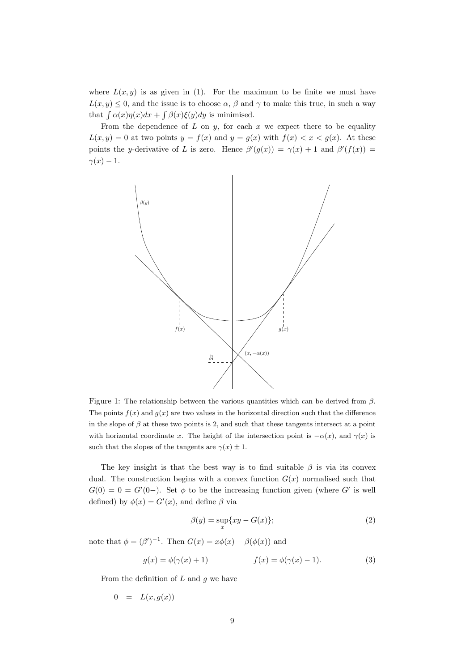where  $L(x, y)$  is as given in (1). For the maximum to be finite we must have  $L(x, y) \leq 0$ , and the issue is to choose  $\alpha$ ,  $\beta$  and  $\gamma$  to make this true, in such a way that  $\int \alpha(x)\eta(x)dx + \int \beta(x)\xi(y)dy$  is minimised.

From the dependence of  $L$  on  $y$ , for each  $x$  we expect there to be equality  $L(x, y) = 0$  at two points  $y = f(x)$  and  $y = g(x)$  with  $f(x) < x < g(x)$ . At these points the y-derivative of L is zero. Hence  $\beta'(g(x)) = \gamma(x) + 1$  and  $\beta'(f(x)) =$  $\gamma(x) - 1.$ 



Figure 1: The relationship between the various quantities which can be derived from  $\beta$ . The points  $f(x)$  and  $g(x)$  are two values in the horizontal direction such that the difference in the slope of  $\beta$  at these two points is 2, and such that these tangents intersect at a point with horizontal coordinate x. The height of the intersection point is  $-\alpha(x)$ , and  $\gamma(x)$  is such that the slopes of the tangents are  $\gamma(x) \pm 1$ .

The key insight is that the best way is to find suitable  $\beta$  is via its convex dual. The construction begins with a convex function  $G(x)$  normalised such that  $G(0) = 0 = G'(0-)$ . Set  $\phi$  to be the increasing function given (where G' is well defined) by  $\phi(x) = G'(x)$ , and define  $\beta$  via

$$
\beta(y) = \sup_{x} \{ xy - G(x) \};\tag{2}
$$

note that  $\phi = (\beta')^{-1}$ . Then  $G(x) = x\phi(x) - \beta(\phi(x))$  and

$$
g(x) = \phi(\gamma(x) + 1) \qquad f(x) = \phi(\gamma(x) - 1). \tag{3}
$$

From the definition of  $L$  and  $g$  we have

$$
0 = L(x, g(x))
$$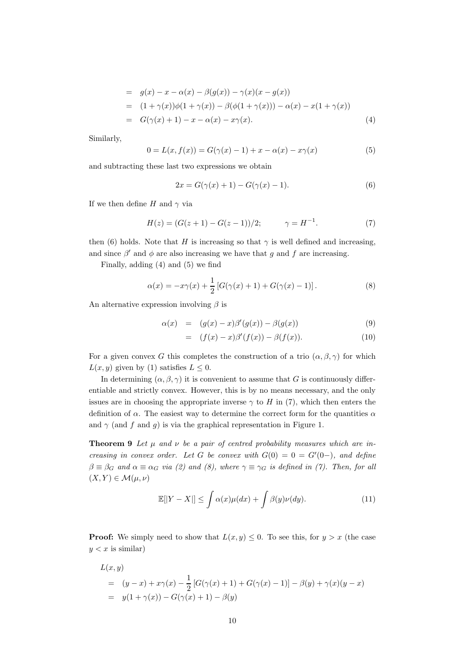= 
$$
g(x) - x - \alpha(x) - \beta(g(x)) - \gamma(x)(x - g(x))
$$
  
\n=  $(1 + \gamma(x))\phi(1 + \gamma(x)) - \beta(\phi(1 + \gamma(x))) - \alpha(x) - x(1 + \gamma(x))$   
\n=  $G(\gamma(x) + 1) - x - \alpha(x) - x\gamma(x).$  (4)

Similarly,

$$
0 = L(x, f(x)) = G(\gamma(x) - 1) + x - \alpha(x) - x\gamma(x)
$$
\n(5)

and subtracting these last two expressions we obtain

$$
2x = G(\gamma(x) + 1) - G(\gamma(x) - 1).
$$
 (6)

If we then define H and  $\gamma$  via

$$
H(z) = (G(z+1) - G(z-1))/2; \qquad \gamma = H^{-1}.
$$
 (7)

then (6) holds. Note that H is increasing so that  $\gamma$  is well defined and increasing, and since  $\beta'$  and  $\phi$  are also increasing we have that g and f are increasing.

Finally, adding (4) and (5) we find

$$
\alpha(x) = -x\gamma(x) + \frac{1}{2} [G(\gamma(x) + 1) + G(\gamma(x) - 1)].
$$
\n(8)

An alternative expression involving  $\beta$  is

$$
\alpha(x) = (g(x) - x)\beta'(g(x)) - \beta(g(x)) \tag{9}
$$

$$
= (f(x) - x)\beta'(f(x)) - \beta(f(x)). \tag{10}
$$

For a given convex G this completes the construction of a trio  $(\alpha, \beta, \gamma)$  for which  $L(x, y)$  given by (1) satisfies  $L \leq 0$ .

In determining  $(\alpha, \beta, \gamma)$  it is convenient to assume that G is continuously differentiable and strictly convex. However, this is by no means necessary, and the only issues are in choosing the appropriate inverse  $\gamma$  to H in (7), which then enters the definition of  $\alpha$ . The easiest way to determine the correct form for the quantities  $\alpha$ and  $\gamma$  (and f and g) is via the graphical representation in Figure 1.

**Theorem 9** Let  $\mu$  and  $\nu$  be a pair of centred probability measures which are increasing in convex order. Let G be convex with  $G(0) = 0 = G'(0-)$ , and define  $\beta \equiv \beta_G$  and  $\alpha \equiv \alpha_G$  via (2) and (8), where  $\gamma \equiv \gamma_G$  is defined in (7). Then, for all  $(X, Y) \in \mathcal{M}(\mu, \nu)$ 

$$
\mathbb{E}[|Y - X|] \le \int \alpha(x)\mu(dx) + \int \beta(y)\nu(dy). \tag{11}
$$

**Proof:** We simply need to show that  $L(x, y) \leq 0$ . To see this, for  $y > x$  (the case  $y < x$  is similar)

$$
L(x, y)
$$
  
=  $(y - x) + x\gamma(x) - \frac{1}{2} [G(\gamma(x) + 1) + G(\gamma(x) - 1)] - \beta(y) + \gamma(x)(y - x)$   
=  $y(1 + \gamma(x)) - G(\gamma(x) + 1) - \beta(y)$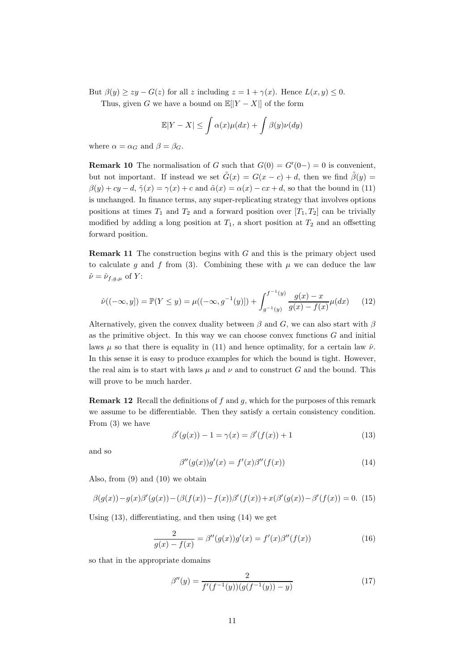But  $\beta(y) > zy - G(z)$  for all z including  $z = 1 + \gamma(x)$ . Hence  $L(x, y) \leq 0$ .

Thus, given G we have a bound on  $\mathbb{E}[|Y - X|]$  of the form

$$
\mathbb{E}|Y - X| \le \int \alpha(x)\mu(dx) + \int \beta(y)\nu(dy)
$$

where  $\alpha = \alpha_G$  and  $\beta = \beta_G$ .

**Remark 10** The normalisation of G such that  $G(0) = G'(0-) = 0$  is convenient, but not important. If instead we set  $\tilde{G}(x) = G(x - c) + d$ , then we find  $\tilde{\beta}(y) =$  $\beta(y) + cy - d$ ,  $\tilde{\gamma}(x) = \gamma(x) + c$  and  $\tilde{\alpha}(x) = \alpha(x) - cx + d$ , so that the bound in (11) is unchanged. In finance terms, any super-replicating strategy that involves options positions at times  $T_1$  and  $T_2$  and a forward position over  $[T_1, T_2]$  can be trivially modified by adding a long position at  $T_1$ , a short position at  $T_2$  and an offsetting forward position.

**Remark 11** The construction begins with  $G$  and this is the primary object used to calculate g and f from (3). Combining these with  $\mu$  we can deduce the law  $\hat{\nu} = \hat{\nu}_{f,q,\mu}$  of Y:

$$
\hat{\nu}((-\infty, y]) = \mathbb{P}(Y \le y) = \mu((-\infty, g^{-1}(y)]) + \int_{g^{-1}(y)}^{f^{-1}(y)} \frac{g(x) - x}{g(x) - f(x)} \mu(dx) \tag{12}
$$

Alternatively, given the convex duality between  $\beta$  and  $G$ , we can also start with  $\beta$ as the primitive object. In this way we can choose convex functions  $G$  and initial laws  $\mu$  so that there is equality in (11) and hence optimality, for a certain law  $\hat{\nu}$ . In this sense it is easy to produce examples for which the bound is tight. However, the real aim is to start with laws  $\mu$  and  $\nu$  and to construct G and the bound. This will prove to be much harder.

**Remark 12** Recall the definitions of f and g, which for the purposes of this remark we assume to be differentiable. Then they satisfy a certain consistency condition. From (3) we have

$$
\beta'(g(x)) - 1 = \gamma(x) = \beta'(f(x)) + 1 \tag{13}
$$

and so

$$
\beta''(g(x))g'(x) = f'(x)\beta''(f(x))\tag{14}
$$

Also, from (9) and (10) we obtain

$$
\beta(g(x)) - g(x)\beta'(g(x)) - (\beta(f(x)) - f(x))\beta'(f(x)) + x(\beta'(g(x)) - \beta'(f(x))) = 0.
$$
 (15)

Using (13), differentiating, and then using (14) we get

$$
\frac{2}{g(x) - f(x)} = \beta''(g(x))g'(x) = f'(x)\beta''(f(x))\tag{16}
$$

so that in the appropriate domains

$$
\beta''(y) = \frac{2}{f'(f^{-1}(y))(g(f^{-1}(y)) - y)}\tag{17}
$$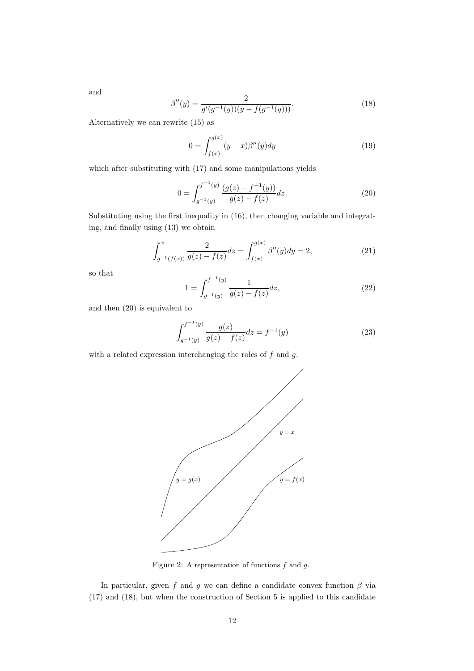and

$$
\beta''(y) = \frac{2}{g'(g^{-1}(y))(y - f(g^{-1}(y)))}.
$$
\n(18)

Alternatively we can rewrite (15) as

$$
0 = \int_{f(x)}^{g(x)} (y - x)\beta''(y) dy
$$
 (19)

which after substituting with (17) and some manipulations yields

$$
0 = \int_{g^{-1}(y)}^{f^{-1}(y)} \frac{(g(z) - f^{-1}(y))}{g(z) - f(z)} dz.
$$
 (20)

Substituting using the first inequality in (16), then changing variable and integrating, and finally using (13) we obtain

$$
\int_{g^{-1}(f(x))}^{x} \frac{2}{g(z) - f(z)} dz = \int_{f(x)}^{g(x)} \beta''(y) dy = 2,
$$
\n(21)

so that

$$
1 = \int_{g^{-1}(y)}^{f^{-1}(y)} \frac{1}{g(z) - f(z)} dz,
$$
\n(22)

and then  $(20)$  is equivalent to

$$
\int_{g^{-}}^{f^{-1}(y)} \frac{g(z)}{g(z) - f(z)} dz = f^{-1}(y)
$$
\n(23)

with a related expression interchanging the roles of  $f$  and  $g$ .



Figure 2: A representation of functions  $f$  and  $g$ .

In particular, given f and g we can define a candidate convex function  $\beta$  via (17) and (18), but when the construction of Section 5 is applied to this candidate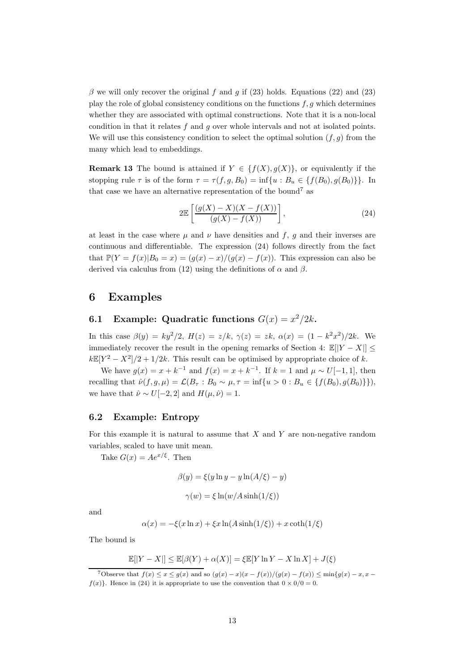β we will only recover the original f and q if (23) holds. Equations (22) and (23) play the role of global consistency conditions on the functions  $f, g$  which determines whether they are associated with optimal constructions. Note that it is a non-local condition in that it relates  $f$  and  $g$  over whole intervals and not at isolated points. We will use this consistency condition to select the optimal solution  $(f, g)$  from the many which lead to embeddings.

**Remark 13** The bound is attained if  $Y \in \{f(X), g(X)\}\)$ , or equivalently if the stopping rule  $\tau$  is of the form  $\tau = \tau(f, g, B_0) = \inf\{u : B_u \in \{f(B_0), g(B_0)\}\}\.$  In that case we have an alternative representation of the bound<sup>7</sup> as

$$
2\mathbb{E}\left[\frac{(g(X) - X)(X - f(X))}{(g(X) - f(X))}\right],\tag{24}
$$

at least in the case where  $\mu$  and  $\nu$  have densities and  $f, g$  and their inverses are continuous and differentiable. The expression (24) follows directly from the fact that  $\mathbb{P}(Y = f(x)|B_0 = x) = (g(x) - x)/(g(x) - f(x))$ . This expression can also be derived via calculus from (12) using the definitions of  $\alpha$  and  $\beta$ .

### 6 Examples

## **6.1** Example: Quadratic functions  $G(x) = x^2/2k$ .

In this case  $\beta(y) = ky^2/2$ ,  $H(z) = z/k$ ,  $\gamma(z) = zk$ ,  $\alpha(x) = (1 - k^2 x^2)/2k$ . We immediately recover the result in the opening remarks of Section 4:  $\mathbb{E}[|Y - X|]$  <  $k\mathbb{E}[Y^2 - X^2]/2 + 1/2k$ . This result can be optimised by appropriate choice of k.

We have  $g(x) = x + k^{-1}$  and  $f(x) = x + k^{-1}$ . If  $k = 1$  and  $\mu \sim U[-1, 1]$ , then recalling that  $\hat{\nu}(f, g, \mu) = \mathcal{L}(B_{\tau} : B_0 \sim \mu, \tau = \inf\{u > 0 : B_u \in \{f(B_0), g(B_0)\}\}),$ we have that  $\hat{\nu} \sim U[-2, 2]$  and  $H(\mu, \hat{\nu}) = 1$ .

#### 6.2 Example: Entropy

For this example it is natural to assume that  $X$  and  $Y$  are non-negative random variables, scaled to have unit mean.

Take  $G(x) = Ae^{x/\xi}$ . Then

$$
\beta(y) = \xi(y \ln y - y \ln(A/\xi) - y)
$$

$$
\gamma(w) = \xi \ln(w/A \sinh(1/\xi))
$$

and

$$
\alpha(x) = -\xi(x \ln x) + \xi x \ln(A \sinh(1/\xi)) + x \coth(1/\xi)
$$

The bound is

$$
\mathbb{E}[|Y - X|] \le \mathbb{E}[\beta(Y) + \alpha(X)] = \xi \mathbb{E}[Y \ln Y - X \ln X] + J(\xi)
$$

<sup>7</sup>Observe that  $f(x) \leq x \leq q(x)$  and so  $(q(x) - x)(x - f(x))/(q(x) - f(x)) \leq \min\{q(x) - x, x$  $f(x)$ . Hence in (24) it is appropriate to use the convention that  $0 \times 0/0 = 0$ .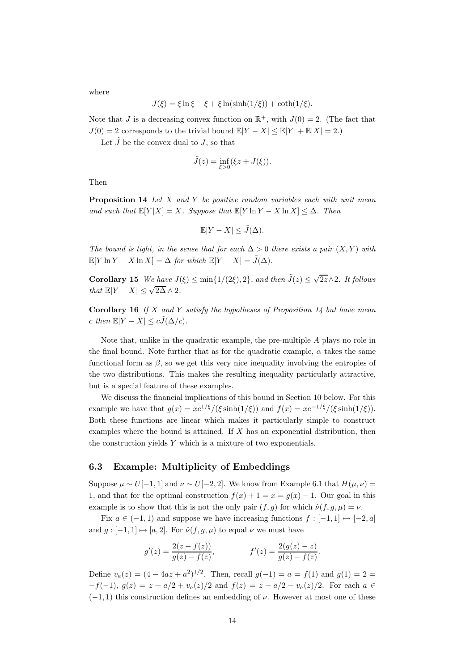where

$$
J(\xi) = \xi \ln \xi - \xi + \xi \ln(\sinh(1/\xi)) + \coth(1/\xi).
$$

Note that J is a decreasing convex function on  $\mathbb{R}^+$ , with  $J(0) = 2$ . (The fact that  $J(0) = 2$  corresponds to the trivial bound  $\mathbb{E}[Y - X] \leq \mathbb{E}[Y] + \mathbb{E}[X] = 2.$ 

Let  $\tilde{J}$  be the convex dual to  $J$ , so that

$$
\tilde{J}(z) = \inf_{\xi > 0} (\xi z + J(\xi)).
$$

Then

**Proposition 14** Let  $X$  and  $Y$  be positive random variables each with unit mean and such that  $\mathbb{E}[Y|X] = X$ . Suppose that  $\mathbb{E}[Y \ln Y - X \ln X] \leq \Delta$ . Then

$$
\mathbb{E}|Y - X| \le \tilde{J}(\Delta).
$$

The bound is tight, in the sense that for each  $\Delta > 0$  there exists a pair  $(X, Y)$  with  $\mathbb{E}[Y \ln Y - X \ln X] = \Delta$  for which  $\mathbb{E}[Y - X] = \tilde{J}(\Delta)$ .

**Corollary 15** We have  $J(\xi) \le \min\{1/(2\xi), 2\}$ , and then  $\tilde{J}(z) \le \sqrt{2z} \wedge 2$ . It follows that  $\mathbb{E}|Y - X| \leq \sqrt{2\Delta} \wedge 2$ .

**Corollary 16** If X and Y satisfy the hypotheses of Proposition 14 but have mean c then  $\mathbb{E}|Y - X| \leq c\tilde{J}(\Delta/c)$ .

Note that, unlike in the quadratic example, the pre-multiple A plays no role in the final bound. Note further that as for the quadratic example,  $\alpha$  takes the same functional form as  $\beta$ , so we get this very nice inequality involving the entropies of the two distributions. This makes the resulting inequality particularly attractive, but is a special feature of these examples.

We discuss the financial implications of this bound in Section 10 below. For this example we have that  $q(x) = xe^{1/\xi}/(\xi \sinh(1/\xi))$  and  $f(x) = xe^{-1/\xi}/(\xi \sinh(1/\xi))$ . Both these functions are linear which makes it particularly simple to construct examples where the bound is attained. If  $X$  has an exponential distribution, then the construction yields  $Y$  which is a mixture of two exponentials.

#### 6.3 Example: Multiplicity of Embeddings

Suppose  $\mu \sim U[-1, 1]$  and  $\nu \sim U[-2, 2]$ . We know from Example 6.1 that  $H(\mu, \nu)$  = 1, and that for the optimal construction  $f(x) + 1 = x = g(x) - 1$ . Our goal in this example is to show that this is not the only pair  $(f, g)$  for which  $\hat{\nu}(f, g, \mu) = \nu$ .

Fix  $a \in (-1,1)$  and suppose we have increasing functions  $f: [-1,1] \mapsto [-2, a]$ and  $g : [-1, 1] \mapsto [a, 2]$ . For  $\hat{\nu}(f, g, \mu)$  to equal  $\nu$  we must have

$$
g'(z) = \frac{2(z - f(z))}{g(z) - f(z)}, \qquad f'(z) = \frac{2(g(z) - z)}{g(z) - f(z)}.
$$

Define  $v_a(z) = (4 - 4az + a^2)^{1/2}$ . Then, recall  $g(-1) = a = f(1)$  and  $g(1) = 2$  $-f(-1)$ ,  $g(z) = z + a/2 + v_a(z)/2$  and  $f(z) = z + a/2 - v_a(z)/2$ . For each  $a \in$  $(-1, 1)$  this construction defines an embedding of  $\nu$ . However at most one of these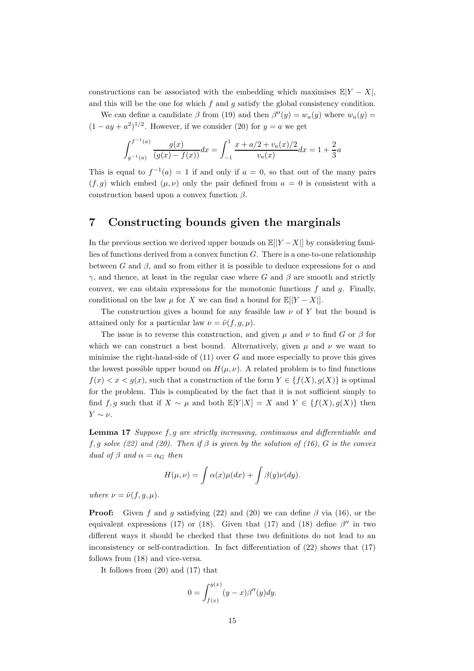constructions can be associated with the embedding which maximises  $E|Y - X|$ , and this will be the one for which  $f$  and  $g$  satisfy the global consistency condition.

We can define a candidate  $\beta$  from (19) and then  $\beta''(y) = w_a(y)$  where  $w_a(y) =$  $(1 - ay + a^2)^{1/2}$ . However, if we consider (20) for  $y = a$  we get

$$
\int_{g^{-1}(a)}^{f^{-1}(a)} \frac{g(x)}{(g(x) - f(x))} dx = \int_{-1}^{1} \frac{x + a/2 + v_a(x)/2}{v_a(x)} dx = 1 + \frac{2}{3}a
$$

This is equal to  $f^{-1}(a) = 1$  if and only if  $a = 0$ , so that out of the many pairs  $(f, g)$  which embed  $(\mu, \nu)$  only the pair defined from  $a = 0$  is consistent with a construction based upon a convex function  $\beta$ .

# 7 Constructing bounds given the marginals

In the previous section we derived upper bounds on  $\mathbb{E}[|Y - X|]$  by considering families of functions derived from a convex function G. There is a one-to-one relationship between G and  $\beta$ , and so from either it is possible to deduce expressions for  $\alpha$  and  $γ$ , and thence, at least in the regular case where G and β are smooth and strictly convex, we can obtain expressions for the monotonic functions  $f$  and  $g$ . Finally, conditional on the law  $\mu$  for X we can find a bound for  $\mathbb{E}[|Y - X|]$ .

The construction gives a bound for any feasible law  $\nu$  of Y but the bound is attained only for a particular law  $\nu = \hat{\nu}(f, g, \mu)$ .

The issue is to reverse this construction, and given  $\mu$  and  $\nu$  to find G or  $\beta$  for which we can construct a best bound. Alternatively, given  $\mu$  and  $\nu$  we want to minimise the right-hand-side of  $(11)$  over G and more especially to prove this gives the lowest possible upper bound on  $H(\mu, \nu)$ . A related problem is to find functions  $f(x) < x < g(x)$ , such that a construction of the form  $Y \in \{f(X), g(X)\}\$ is optimal for the problem. This is complicated by the fact that it is not sufficient simply to find f, g such that if  $X \sim \mu$  and both  $\mathbb{E}[Y|X] = X$  and  $Y \in \{f(X), g(X)\}\)$  then  $Y \sim \nu$ .

Lemma 17 Suppose f, g are strictly increasing, continuous and differentiable and f, g solve (22) and (20). Then if  $\beta$  is given by the solution of (16), G is the convex dual of  $\beta$  and  $\alpha = \alpha_G$  then

$$
H(\mu, \nu) = \int \alpha(x) \mu(dx) + \int \beta(y) \nu(dy).
$$

where  $\nu = \hat{\nu}(f, g, \mu)$ .

**Proof:** Given f and g satisfying (22) and (20) we can define  $\beta$  via (16), or the equivalent expressions (17) or (18). Given that (17) and (18) define  $\beta''$  in two different ways it should be checked that these two definitions do not lead to an inconsistency or self-contradiction. In fact differentiation of (22) shows that (17) follows from (18) and vice-versa.

It follows from (20) and (17) that

$$
0 = \int_{f(x)}^{g(x)} (y - x)\beta''(y)dy.
$$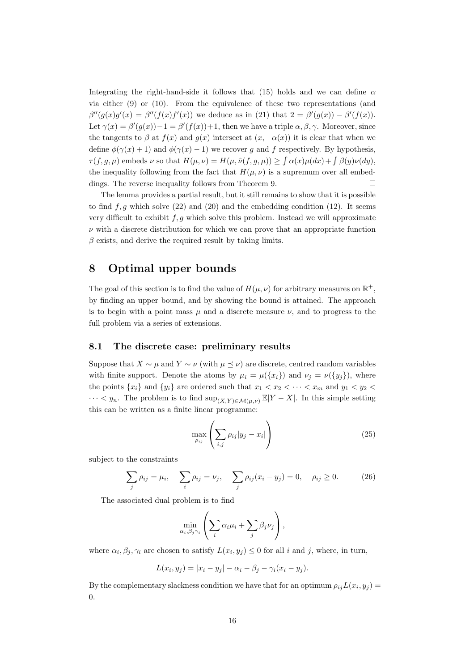Integrating the right-hand-side it follows that (15) holds and we can define  $\alpha$ via either (9) or (10). From the equivalence of these two representations (and  $\beta''(g(x)g'(x)) = \beta''(f(x)f'(x))$  we deduce as in (21) that  $2 = \beta'(g(x)) - \beta'(f(x))$ . Let  $\gamma(x) = \beta'(g(x)) - 1 = \beta'(f(x)) + 1$ , then we have a triple  $\alpha, \beta, \gamma$ . Moreover, since the tangents to  $\beta$  at  $f(x)$  and  $g(x)$  intersect at  $(x, -\alpha(x))$  it is clear that when we define  $\phi(\gamma(x) + 1)$  and  $\phi(\gamma(x) - 1)$  we recover g and f respectively. By hypothesis,  $\tau(f, g, \mu)$  embeds  $\nu$  so that  $H(\mu, \nu) = H(\mu, \hat{\nu}(f, g, \mu)) \ge \int \alpha(x) \mu(dx) + \int \beta(y) \nu(dy)$ , the inequality following from the fact that  $H(\mu, \nu)$  is a supremum over all embeddings. The reverse inequality follows from Theorem 9.

The lemma provides a partial result, but it still remains to show that it is possible to find  $f, g$  which solve (22) and (20) and the embedding condition (12). It seems very difficult to exhibit  $f, g$  which solve this problem. Instead we will approximate  $\nu$  with a discrete distribution for which we can prove that an appropriate function  $\beta$  exists, and derive the required result by taking limits.

# 8 Optimal upper bounds

The goal of this section is to find the value of  $H(\mu, \nu)$  for arbitrary measures on  $\mathbb{R}^+$ , by finding an upper bound, and by showing the bound is attained. The approach is to begin with a point mass  $\mu$  and a discrete measure  $\nu$ , and to progress to the full problem via a series of extensions.

#### 8.1 The discrete case: preliminary results

Suppose that  $X \sim \mu$  and  $Y \sim \nu$  (with  $\mu \prec \nu$ ) are discrete, centred random variables with finite support. Denote the atoms by  $\mu_i = \mu({x_i})$  and  $\nu_j = \nu({y_j})$ , where the points  $\{x_i\}$  and  $\{y_i\}$  are ordered such that  $x_1 < x_2 < \cdots < x_m$  and  $y_1 < y_2 <$  $\cdots < y_n$ . The problem is to find sup<sub>(X,Y)∈M(µ,v)</sub>  $\mathbb{E}|Y - X|$ . In this simple setting this can be written as a finite linear programme:

$$
\max_{\rho_{ij}} \left( \sum_{i,j} \rho_{ij} |y_j - x_i| \right) \tag{25}
$$

subject to the constraints

$$
\sum_{j} \rho_{ij} = \mu_i, \quad \sum_{i} \rho_{ij} = \nu_j, \quad \sum_{j} \rho_{ij} (x_i - y_j) = 0, \quad \rho_{ij} \ge 0.
$$
 (26)

The associated dual problem is to find

$$
\min_{\alpha_i,\beta_j\gamma_i}\left(\sum_i\alpha_i\mu_i+\sum_j\beta_j\nu_j\right),\,
$$

where  $\alpha_i, \beta_j, \gamma_i$  are chosen to satisfy  $L(x_i, y_j) \leq 0$  for all i and j, where, in turn,

$$
L(x_i, y_j) = |x_i - y_j| - \alpha_i - \beta_j - \gamma_i(x_i - y_j).
$$

By the complementary slackness condition we have that for an optimum  $\rho_{ij}L(x_i, y_j) =$ 0.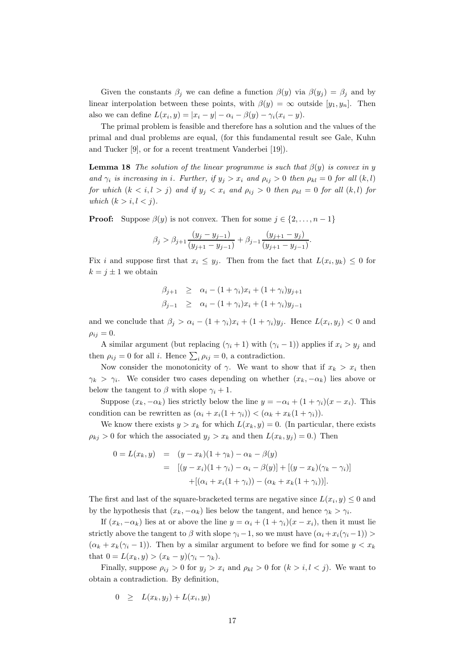Given the constants  $\beta_i$  we can define a function  $\beta(y)$  via  $\beta(y_i) = \beta_i$  and by linear interpolation between these points, with  $\beta(y) = \infty$  outside  $[y_1, y_n]$ . Then also we can define  $L(x_i, y) = |x_i - y| - \alpha_i - \beta(y) - \gamma_i(x_i - y)$ .

The primal problem is feasible and therefore has a solution and the values of the primal and dual problems are equal, (for this fundamental result see Gale, Kuhn and Tucker [9], or for a recent treatment Vanderbei [19]).

**Lemma 18** The solution of the linear programme is such that  $\beta(y)$  is convex in y and  $\gamma_i$  is increasing in i. Further, if  $y_j > x_i$  and  $\rho_{ij} > 0$  then  $\rho_{kl} = 0$  for all  $(k, l)$ for which  $(k \lt i, l > j)$  and if  $y_j \lt x_i$  and  $\rho_{ij} > 0$  then  $\rho_{kl} = 0$  for all  $(k, l)$  for which  $(k > i, l < j)$ .

**Proof:** Suppose  $\beta(y)$  is not convex. Then for some  $j \in \{2, ..., n-1\}$ 

$$
\beta_j > \beta_{j+1} \frac{(y_j - y_{j-1})}{(y_{j+1} - y_{j-1})} + \beta_{j-1} \frac{(y_{j+1} - y_j)}{(y_{j+1} - y_{j-1})}.
$$

Fix i and suppose first that  $x_i \leq y_j$ . Then from the fact that  $L(x_i, y_k) \leq 0$  for  $k = j \pm 1$  we obtain

$$
\beta_{j+1} \geq \alpha_i - (1 + \gamma_i)x_i + (1 + \gamma_i)y_{j+1} \n\beta_{j-1} \geq \alpha_i - (1 + \gamma_i)x_i + (1 + \gamma_i)y_{j-1}
$$

and we conclude that  $\beta_j > \alpha_i - (1 + \gamma_i)x_i + (1 + \gamma_i)y_j$ . Hence  $L(x_i, y_j) < 0$  and  $\rho_{ij} = 0.$ 

A similar argument (but replacing  $(\gamma_i + 1)$  with  $(\gamma_i - 1)$ ) applies if  $x_i > y_j$  and then  $\rho_{ij} = 0$  for all *i*. Hence  $\sum_i \rho_{ij} = 0$ , a contradiction.

Now consider the monotonicity of  $\gamma$ . We want to show that if  $x_k > x_i$  then  $\gamma_k > \gamma_i$ . We consider two cases depending on whether  $(x_k, -\alpha_k)$  lies above or below the tangent to  $\beta$  with slope  $\gamma_i + 1$ .

Suppose  $(x_k, -\alpha_k)$  lies strictly below the line  $y = -\alpha_i + (1 + \gamma_i)(x - x_i)$ . This condition can be rewritten as  $(\alpha_i + x_i(1 + \gamma_i)) < (\alpha_k + x_k(1 + \gamma_i)).$ 

We know there exists  $y > x_k$  for which  $L(x_k, y) = 0$ . (In particular, there exists  $\rho_{kj} > 0$  for which the associated  $y_j > x_k$  and then  $L(x_k, y_j) = 0$ .) Then

$$
0 = L(x_k, y) = (y - x_k)(1 + \gamma_k) - \alpha_k - \beta(y)
$$
  
= 
$$
[(y - x_i)(1 + \gamma_i) - \alpha_i - \beta(y)] + [(y - x_k)(\gamma_k - \gamma_i)]
$$
  
+ 
$$
[(\alpha_i + x_i(1 + \gamma_i)) - (\alpha_k + x_k(1 + \gamma_i))].
$$

The first and last of the square-bracketed terms are negative since  $L(x_i, y) \leq 0$  and by the hypothesis that  $(x_k, -\alpha_k)$  lies below the tangent, and hence  $\gamma_k > \gamma_i$ .

If  $(x_k, -\alpha_k)$  lies at or above the line  $y = \alpha_i + (1 + \gamma_i)(x - x_i)$ , then it must lie strictly above the tangent to  $\beta$  with slope  $\gamma_i-1$ , so we must have  $(\alpha_i+x_i(\gamma_i-1))$  $(\alpha_k + x_k(\gamma_i - 1))$ . Then by a similar argument to before we find for some  $y < x_k$ that  $0 = L(x_k, y) > (x_k - y)(\gamma_i - \gamma_k).$ 

Finally, suppose  $\rho_{ij} > 0$  for  $y_j > x_i$  and  $\rho_{kl} > 0$  for  $(k > i, l < j)$ . We want to obtain a contradiction. By definition,

$$
0 \geq L(x_k, y_j) + L(x_i, y_l)
$$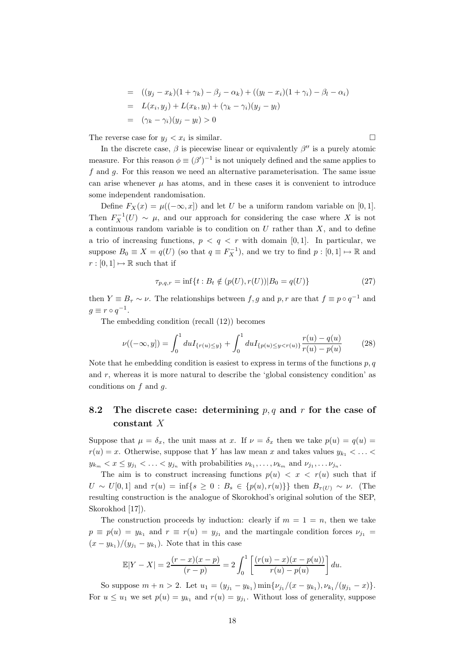= 
$$
((y_j - x_k)(1 + \gamma_k) - \beta_j - \alpha_k) + ((y_l - x_i)(1 + \gamma_i) - \beta_l - \alpha_i)
$$
  
\n=  $L(x_i, y_j) + L(x_k, y_l) + (\gamma_k - \gamma_i)(y_j - y_l)$   
\n=  $(\gamma_k - \gamma_i)(y_j - y_l) > 0$ 

The reverse case for  $y_j < x_i$  is similar.

In the discrete case,  $\beta$  is piecewise linear or equivalently  $\beta''$  is a purely atomic measure. For this reason  $\phi \equiv (\beta')^{-1}$  is not uniquely defined and the same applies to f and g. For this reason we need an alternative parameterisation. The same issue can arise whenever  $\mu$  has atoms, and in these cases it is convenient to introduce some independent randomisation.

Define  $F_X(x) = \mu((-\infty, x])$  and let U be a uniform random variable on [0, 1]. Then  $F_X^{-1}(U) \sim \mu$ , and our approach for considering the case where X is not a continuous random variable is to condition on  $U$  rather than  $X$ , and to define a trio of increasing functions,  $p < q < r$  with domain [0, 1]. In particular, we suppose  $B_0 \equiv X = q(U)$  (so that  $q \equiv F_X^{-1}$ ), and we try to find  $p : [0,1] \mapsto \mathbb{R}$  and  $r : [0, 1] \mapsto \mathbb{R}$  such that if

$$
\tau_{p,q,r} = \inf\{t : B_t \notin (p(U), r(U)) | B_0 = q(U)\}\tag{27}
$$

then  $Y \equiv B_{\tau} \sim \nu$ . The relationships between  $f, g$  and  $p, r$  are that  $f \equiv p \circ q^{-1}$  and  $g \equiv r \circ q^{-1}.$ 

The embedding condition (recall (12)) becomes

$$
\nu((-\infty, y]) = \int_0^1 du I_{\{r(u) \le y\}} + \int_0^1 du I_{\{p(u) \le y < r(u)\}} \frac{r(u) - q(u)}{r(u) - p(u)} \tag{28}
$$

Note that he embedding condition is easiest to express in terms of the functions  $p, q$ and  $r$ , whereas it is more natural to describe the 'global consistency condition' as conditions on  $f$  and  $g$ .

# 8.2 The discrete case: determining  $p, q$  and r for the case of constant X

Suppose that  $\mu = \delta_x$ , the unit mass at x. If  $\nu = \delta_x$  then we take  $p(u) = q(u)$  $r(u) = x$ . Otherwise, suppose that Y has law mean x and takes values  $y_{k_1} < \ldots <$  $y_{k_m} < x \le y_{j_1} < \ldots < y_{j_n}$  with probabilities  $\nu_{k_1}, \ldots, \nu_{k_m}$  and  $\nu_{j_1}, \ldots \nu_{j_n}$ .

The aim is to construct increasing functions  $p(u) < x < r(u)$  such that if  $U \sim U[0,1]$  and  $\tau(u) = \inf\{s \geq 0 : B_s \in \{p(u), r(u)\}\}\$  then  $B_{\tau(U)} \sim \nu$ . (The resulting construction is the analogue of Skorokhod's original solution of the SEP, Skorokhod [17]).

The construction proceeds by induction: clearly if  $m = 1 = n$ , then we take  $p \equiv p(u) = y_{k_1}$  and  $r \equiv r(u) = y_{j_1}$  and the martingale condition forces  $\nu_{j_1} =$  $(x - y_{k_1})/(y_{j_1} - y_{k_1})$ . Note that in this case

$$
\mathbb{E}|Y - X| = 2\frac{(r - x)(x - p)}{(r - p)} = 2\int_0^1 \left[ \frac{(r(u) - x)(x - p(u))}{r(u) - p(u)} \right] du.
$$

So suppose  $m + n > 2$ . Let  $u_1 = (y_{j_1} - y_{k_1}) \min\{\nu_{j_1}/(x - y_{k_1}), \nu_{k_1}/(y_{j_1} - x)\}.$ For  $u \leq u_1$  we set  $p(u) = y_{k_1}$  and  $r(u) = y_{j_1}$ . Without loss of generality, suppose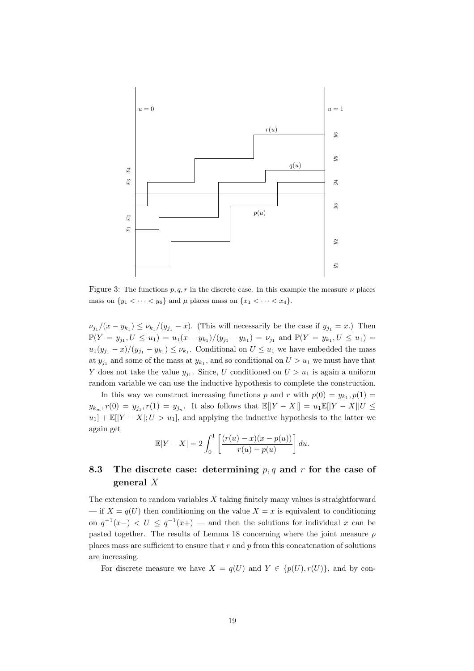

Figure 3: The functions  $p, q, r$  in the discrete case. In this example the measure  $\nu$  places mass on  $\{y_1 < \cdots < y_6\}$  and  $\mu$  places mass on  $\{x_1 < \cdots < x_4\}$ .

 $\nu_{j_1}/(x-y_{k_1}) \leq \nu_{k_1}/(y_{j_1}-x)$ . (This will necessarily be the case if  $y_{j_1}=x$ .) Then  $\mathbb{P}(Y = y_{j_1}, U \le u_1) = u_1(x - y_{k_1})/(y_{j_1} - y_{k_1}) = \nu_{j_1}$  and  $\mathbb{P}(Y = y_{k_1}, U \le u_1) =$  $u_1(y_{j_1}-x)/(y_{j_1}-y_{k_1}) \leq \nu_{k_1}$ . Conditional on  $U \leq u_1$  we have embedded the mass at  $y_{j_1}$  and some of the mass at  $y_{k_1}$ , and so conditional on  $U > u_1$  we must have that Y does not take the value  $y_{j_1}$ . Since, U conditioned on  $U > u_1$  is again a uniform random variable we can use the inductive hypothesis to complete the construction.

In this way we construct increasing functions p and r with  $p(0) = y_{k_1}, p(1) =$  $y_{k_m}, r(0) = y_{j_1}, r(1) = y_{j_n}.$  It also follows that  $\mathbb{E}[|Y - X|] = u_1 \mathbb{E}[|Y - X|]U \leq$  $u_1$ ] +  $\mathbb{E}[|Y - X|; U > u_1]$ , and applying the inductive hypothesis to the latter we again get

$$
\mathbb{E}|Y - X| = 2 \int_0^1 \left[ \frac{(r(u) - x)(x - p(u))}{r(u) - p(u)} \right] du.
$$

# 8.3 The discrete case: determining  $p, q$  and r for the case of general X

The extension to random variables  $X$  taking finitely many values is straightforward — if  $X = q(U)$  then conditioning on the value  $X = x$  is equivalent to conditioning on  $q^{-1}(x-) < U \leq q^{-1}(x+)$  — and then the solutions for individual x can be pasted together. The results of Lemma 18 concerning where the joint measure  $\rho$ places mass are sufficient to ensure that  $r$  and  $p$  from this concatenation of solutions are increasing.

For discrete measure we have  $X = q(U)$  and  $Y \in \{p(U), r(U)\}\)$ , and by con-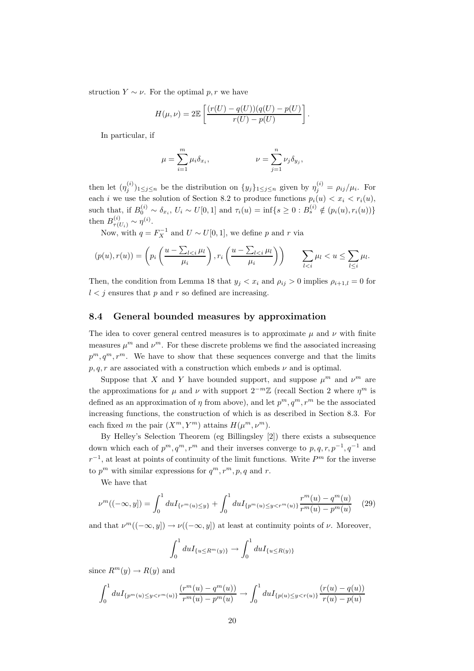struction  $Y \sim \nu$ . For the optimal p, r we have

$$
H(\mu, \nu) = 2\mathbb{E}\left[\frac{(r(U) - q(U))(q(U) - p(U))}{r(U) - p(U)}\right].
$$

In particular, if

$$
\mu = \sum_{i=1}^m \mu_i \delta_{x_i}, \qquad \qquad \nu = \sum_{j=1}^n \nu_j \delta_{y_j},
$$

then let  $(\eta_j^{(i)})_{1\leq j\leq n}$  be the distribution on  $\{y_j\}_{1\leq j\leq n}$  given by  $\eta_j^{(i)} = \rho_{ij}/\mu_i$ . For each i we use the solution of Section 8.2 to produce functions  $p_i(u) < x_i < r_i(u)$ , such that, if  $B_0^{(i)} \sim \delta_{x_i}$ ,  $U_i \sim U[0,1]$  and  $\tau_i(u) = \inf\{s \geq 0 : B_s^{(i)} \notin (p_i(u), r_i(u))\}$ then  $B_{\tau(U_i)}^{(i)} \sim \eta^{(i)}$ .

Now, with  $q = F_X^{-1}$  and  $U \sim U[0, 1]$ , we define p and r via

$$
(p(u), r(u)) = \left(p_i\left(\frac{u - \sum_{l < i} \mu_l}{\mu_i}\right), r_i\left(\frac{u - \sum_{l < i} \mu_l}{\mu_i}\right)\right) \qquad \sum_{l < i} \mu_l < u \le \sum_{l \le i} \mu_l.
$$

Then, the condition from Lemma 18 that  $y_i < x_i$  and  $\rho_{ij} > 0$  implies  $\rho_{i+1,l} = 0$  for  $l < j$  ensures that p and r so defined are increasing.

#### 8.4 General bounded measures by approximation

The idea to cover general centred measures is to approximate  $\mu$  and  $\nu$  with finite measures  $\mu^m$  and  $\nu^m$ . For these discrete problems we find the associated increasing  $p^m, q^m, r^m$ . We have to show that these sequences converge and that the limits  $p, q, r$  are associated with a construction which embeds  $\nu$  and is optimal.

Suppose that X and Y have bounded support, and suppose  $\mu^m$  and  $\nu^m$  are the approximations for  $\mu$  and  $\nu$  with support  $2^{-m}\mathbb{Z}$  (recall Section 2 where  $\eta^m$  is defined as an approximation of  $\eta$  from above), and let  $p^m, q^m, r^m$  be the associated increasing functions, the construction of which is as described in Section 8.3. For each fixed m the pair  $(X^m, Y^m)$  attains  $H(\mu^m, \nu^m)$ .

By Helley's Selection Theorem (eg Billingsley [2]) there exists a subsequence down which each of  $p^m, q^m, r^m$  and their inverses converge to  $p, q, r, p^{-1}, q^{-1}$  and  $r^{-1}$ , at least at points of continuity of the limit functions. Write  $P<sup>m</sup>$  for the inverse to  $p^m$  with similar expressions for  $q^m, r^m, p, q$  and r.

We have that

$$
\nu^m((-\infty, y]) = \int_0^1 du I_{\{r^m(u) \le y\}} + \int_0^1 du I_{\{p^m(u) \le y < r^m(u)\}} \frac{r^m(u) - q^m(u)}{r^m(u) - p^m(u)} \tag{29}
$$

and that  $\nu^m((-\infty, y]) \to \nu((-\infty, y])$  at least at continuity points of  $\nu$ . Moreover,

$$
\int_0^1 du I_{\{u \le R^m(y)\}} \to \int_0^1 du I_{\{u \le R(y)\}}
$$

since  $R^m(y) \to R(y)$  and

$$
\int_0^1 du I_{\{p^m(u)\leq y < r^m(u)\}} \frac{(r^m(u) - q^m(u))}{r^m(u) - p^m(u)} \to \int_0^1 du I_{\{p(u)\leq y < r(u)\}} \frac{(r(u) - q(u))}{r(u) - p(u)}
$$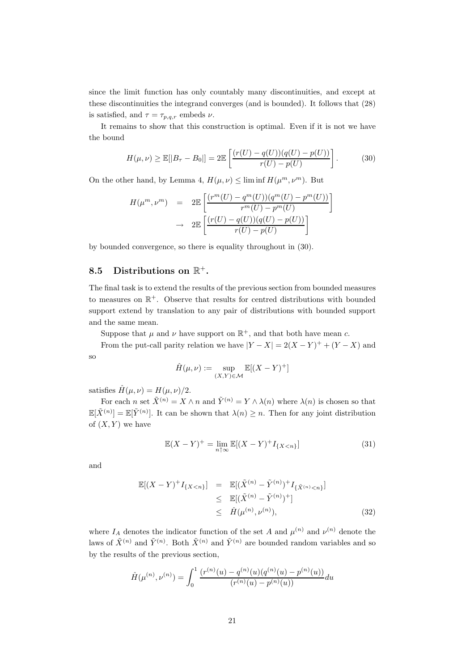since the limit function has only countably many discontinuities, and except at these discontinuities the integrand converges (and is bounded). It follows that (28) is satisfied, and  $\tau = \tau_{p,q,r}$  embeds  $\nu$ .

It remains to show that this construction is optimal. Even if it is not we have the bound

$$
H(\mu, \nu) \ge \mathbb{E}[|B_{\tau} - B_0|] = 2\mathbb{E}\left[\frac{(r(U) - q(U))(q(U) - p(U))}{r(U) - p(U)}\right].
$$
 (30)

On the other hand, by Lemma 4,  $H(\mu, \nu) \leq \liminf H(\mu^m, \nu^m)$ . But

$$
H(\mu^m, \nu^m) = 2\mathbb{E}\left[\frac{(r^m(U) - q^m(U))(q^m(U) - p^m(U))}{r^m(U) - p^m(U)}\right]
$$

$$
\rightarrow 2\mathbb{E}\left[\frac{(r(U) - q(U))(q(U) - p(U))}{r(U) - p(U)}\right]
$$

by bounded convergence, so there is equality throughout in (30).

# 8.5 Distributions on  $\mathbb{R}^+$ .

The final task is to extend the results of the previous section from bounded measures to measures on  $\mathbb{R}^+$ . Observe that results for centred distributions with bounded support extend by translation to any pair of distributions with bounded support and the same mean.

Suppose that  $\mu$  and  $\nu$  have support on  $\mathbb{R}^+$ , and that both have mean c.

From the put-call parity relation we have  $|Y - X| = 2(X - Y)^{+} + (Y - X)$  and so

$$
\hat{H}(\mu,\nu) := \sup_{(X,Y)\in\mathcal{M}} \mathbb{E}[(X-Y)^+]
$$

satisfies  $\hat{H}(\mu, \nu) = H(\mu, \nu)/2$ .

For each n set  $\tilde{X}^{(n)} = X \wedge n$  and  $\tilde{Y}^{(n)} = Y \wedge \lambda(n)$  where  $\lambda(n)$  is chosen so that  $\mathbb{E}[\tilde{X}^{(n)}] = \mathbb{E}[\tilde{Y}^{(n)}]$ . It can be shown that  $\lambda(n) \geq n$ . Then for any joint distribution of  $(X, Y)$  we have

$$
\mathbb{E}(X - Y)^{+} = \lim_{n \uparrow \infty} \mathbb{E}[(X - Y)^{+} I_{\{X < n\}}] \tag{31}
$$

and

$$
\mathbb{E}[(X - Y)^+ I_{\{X < n\}}] = \mathbb{E}[(\tilde{X}^{(n)} - \tilde{Y}^{(n)})^+ I_{\{\tilde{X}^{(n)} < n\}}] \\
\leq \mathbb{E}[(\tilde{X}^{(n)} - \tilde{Y}^{(n)})^+] \\
\leq \hat{H}(\mu^{(n)}, \nu^{(n)}),
$$
\n(32)

where  $I_A$  denotes the indicator function of the set A and  $\mu^{(n)}$  and  $\nu^{(n)}$  denote the laws of  $\tilde{X}^{(n)}$  and  $\tilde{Y}^{(n)}$ . Both  $\tilde{X}^{(n)}$  and  $\tilde{Y}^{(n)}$  are bounded random variables and so by the results of the previous section,

$$
\hat{H}(\mu^{(n)}, \nu^{(n)}) = \int_0^1 \frac{(r^{(n)}(u) - q^{(n)}(u)(q^{(n)}(u) - p^{(n)}(u))}{(r^{(n)}(u) - p^{(n)}(u))} du
$$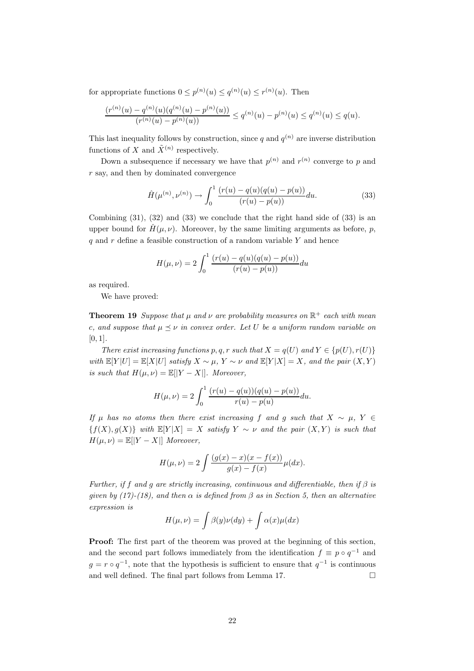for appropriate functions  $0 \le p^{(n)}(u) \le q^{(n)}(u) \le r^{(n)}(u)$ . Then

$$
\frac{(r^{(n)}(u) - q^{(n)}(u)(q^{(n)}(u) - p^{(n)}(u))}{(r^{(n)}(u) - p^{(n)}(u))} \le q^{(n)}(u) - p^{(n)}(u) \le q^{(n)}(u) \le q(u).
$$

This last inequality follows by construction, since q and  $q^{(n)}$  are inverse distribution functions of X and  $\tilde{X}^{(n)}$  respectively.

Down a subsequence if necessary we have that  $p^{(n)}$  and  $r^{(n)}$  converge to p and  $r$  say, and then by dominated convergence  $\,$ 

$$
\hat{H}(\mu^{(n)}, \nu^{(n)}) \to \int_0^1 \frac{(r(u) - q(u)(q(u) - p(u))}{(r(u) - p(u))} du.
$$
\n(33)

Combining  $(31)$ ,  $(32)$  and  $(33)$  we conclude that the right hand side of  $(33)$  is an upper bound for  $H(\mu, \nu)$ . Moreover, by the same limiting arguments as before, p, q and  $r$  define a feasible construction of a random variable  $Y$  and hence

$$
H(\mu, \nu) = 2 \int_0^1 \frac{(r(u) - q(u)(q(u) - p(u))}{(r(u) - p(u))} du
$$

as required.

We have proved:

**Theorem 19** Suppose that  $\mu$  and  $\nu$  are probability measures on  $\mathbb{R}^+$  each with mean c, and suppose that  $\mu \leq \nu$  in convex order. Let U be a uniform random variable on  $[0, 1]$ .

There exist increasing functions p, q, r such that  $X = q(U)$  and  $Y \in \{p(U), r(U)\}$ with  $\mathbb{E}[Y|U] = \mathbb{E}[X|U]$  satisfy  $X \sim \mu$ ,  $Y \sim \nu$  and  $\mathbb{E}[Y|X] = X$ , and the pair  $(X, Y)$ is such that  $H(\mu, \nu) = \mathbb{E}[|Y - X|]$ . Moreover,

$$
H(\mu, \nu) = 2 \int_0^1 \frac{(r(u) - q(u))(q(u) - p(u))}{r(u) - p(u)} du.
$$

If  $\mu$  has no atoms then there exist increasing f and g such that  $X \sim \mu$ ,  $Y \in$  ${f(X), g(X)}$  with  $\mathbb{E}[Y|X] = X$  satisfy  $Y \sim \nu$  and the pair  $(X, Y)$  is such that  $H(\mu, \nu) = \mathbb{E}[|Y - X|]$  Moreover,

$$
H(\mu, \nu) = 2 \int \frac{(g(x) - x)(x - f(x))}{g(x) - f(x)} \mu(dx).
$$

Further, if f and g are strictly increasing, continuous and differentiable, then if  $\beta$  is given by (17)-(18), and then  $\alpha$  is defined from  $\beta$  as in Section 5, then an alternative expression is

$$
H(\mu, \nu) = \int \beta(y)\nu(dy) + \int \alpha(x)\mu(dx)
$$

Proof: The first part of the theorem was proved at the beginning of this section, and the second part follows immediately from the identification  $f \equiv p \circ q^{-1}$  and  $g = r \circ q^{-1}$ , note that the hypothesis is sufficient to ensure that  $q^{-1}$  is continuous and well defined. The final part follows from Lemma 17.  $\hfill \Box$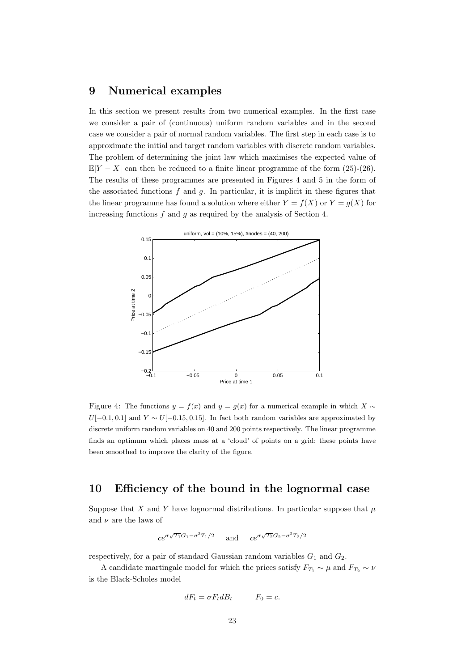### 9 Numerical examples

In this section we present results from two numerical examples. In the first case we consider a pair of (continuous) uniform random variables and in the second case we consider a pair of normal random variables. The first step in each case is to approximate the initial and target random variables with discrete random variables. The problem of determining the joint law which maximises the expected value of  $\mathbb{E}|Y - X|$  can then be reduced to a finite linear programme of the form (25)-(26). The results of these programmes are presented in Figures 4 and 5 in the form of the associated functions  $f$  and  $g$ . In particular, it is implicit in these figures that the linear programme has found a solution where either  $Y = f(X)$  or  $Y = g(X)$  for increasing functions  $f$  and  $g$  as required by the analysis of Section 4.



Figure 4: The functions  $y = f(x)$  and  $y = g(x)$  for a numerical example in which  $X \sim$  $U[-0.1, 0.1]$  and  $Y \sim U[-0.15, 0.15]$ . In fact both random variables are approximated by discrete uniform random variables on 40 and 200 points respectively. The linear programme finds an optimum which places mass at a 'cloud' of points on a grid; these points have been smoothed to improve the clarity of the figure.

# 10 Efficiency of the bound in the lognormal case

Suppose that X and Y have lognormal distributions. In particular suppose that  $\mu$ and  $\nu$  are the laws of

$$
ce^{\sigma\sqrt{T_1}G_1-\sigma^2T_1/2} \quad \text{and} \quad ce^{\sigma\sqrt{T_2}G_2-\sigma^2T_2/2}
$$

respectively, for a pair of standard Gaussian random variables  $G_1$  and  $G_2$ .

A candidate martingale model for which the prices satisfy  $F_{T_1} \sim \mu$  and  $F_{T_2} \sim \nu$ is the Black-Scholes model

$$
dF_t = \sigma F_t dB_t \qquad F_0 = c.
$$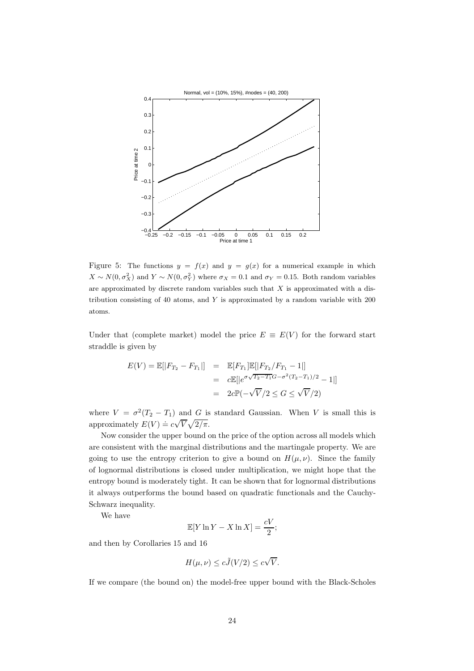

Figure 5: The functions  $y = f(x)$  and  $y = g(x)$  for a numerical example in which  $X \sim N(0, \sigma_X^2)$  and  $Y \sim N(0, \sigma_Y^2)$  where  $\sigma_X = 0.1$  and  $\sigma_Y = 0.15$ . Both random variables are approximated by discrete random variables such that  $X$  is approximated with a distribution consisting of 40 atoms, and Y is approximated by a random variable with 200 atoms.

Under that (complete market) model the price  $E \equiv E(V)$  for the forward start straddle is given by

$$
E(V) = \mathbb{E}[|F_{T_2} - F_{T_1}|] = \mathbb{E}[F_{T_1}]\mathbb{E}[|F_{T_2}/F_{T_1} - 1|]
$$
  
=  $c\mathbb{E}[|e^{\sigma\sqrt{T_2 - T_1}G - \sigma^2(T_2 - T_1)/2} - 1|]$   
=  $2c\mathbb{P}(-\sqrt{V}/2 \le G \le \sqrt{V}/2)$ 

where  $V = \sigma^2(T_2 - T_1)$  and G is standard Gaussian. When V is small this is approximately  $E(V) = c\sqrt{V}\sqrt{2/\pi}$ .

Now consider the upper bound on the price of the option across all models which are consistent with the marginal distributions and the martingale property. We are going to use the entropy criterion to give a bound on  $H(\mu, \nu)$ . Since the family of lognormal distributions is closed under multiplication, we might hope that the entropy bound is moderately tight. It can be shown that for lognormal distributions it always outperforms the bound based on quadratic functionals and the Cauchy-Schwarz inequality.

We have

$$
\mathbb{E}[Y \ln Y - X \ln X] = \frac{cV}{2};
$$

and then by Corollaries 15 and 16

$$
H(\mu, \nu) \le c\tilde{J}(V/2) \le c\sqrt{V}.
$$

If we compare (the bound on) the model-free upper bound with the Black-Scholes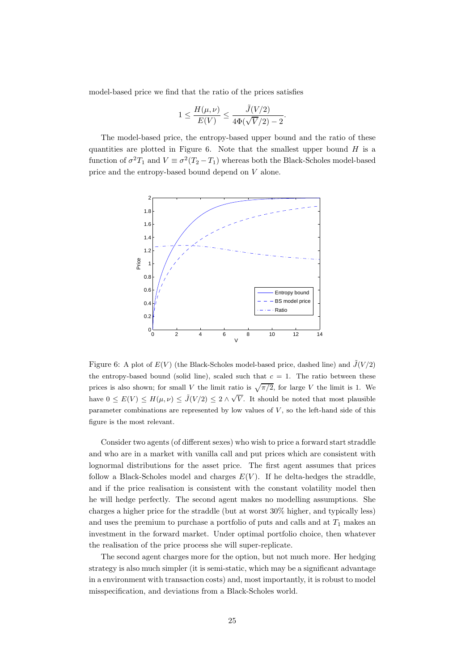model-based price we find that the ratio of the prices satisfies

$$
1 \leq \frac{H(\mu,\nu)}{E(V)} \leq \frac{\tilde{J}(V/2)}{4\Phi(\sqrt{V}/2)-2}.
$$

The model-based price, the entropy-based upper bound and the ratio of these quantities are plotted in Figure 6. Note that the smallest upper bound  $H$  is a function of  $\sigma^2 T_1$  and  $V \equiv \sigma^2 (T_2 - T_1)$  whereas both the Black-Scholes model-based price and the entropy-based bound depend on V alone.



Figure 6: A plot of  $E(V)$  (the Black-Scholes model-based price, dashed line) and  $\tilde{J}(V/2)$ the entropy-based bound (solid line), scaled such that  $c = 1$ . The ratio between these prices is also shown; for small V the limit ratio is  $\sqrt{\pi/2}$ , for large V the limit is 1. We have  $0 \leq E(V) \leq H(\mu, \nu) \leq \tilde{J}(V/2) \leq 2 \wedge \sqrt{V}$ . It should be noted that most plausible parameter combinations are represented by low values of  $V$ , so the left-hand side of this figure is the most relevant.

Consider two agents (of different sexes) who wish to price a forward start straddle and who are in a market with vanilla call and put prices which are consistent with lognormal distributions for the asset price. The first agent assumes that prices follow a Black-Scholes model and charges  $E(V)$ . If he delta-hedges the straddle, and if the price realisation is consistent with the constant volatility model then he will hedge perfectly. The second agent makes no modelling assumptions. She charges a higher price for the straddle (but at worst 30% higher, and typically less) and uses the premium to purchase a portfolio of puts and calls and at  $T_1$  makes an investment in the forward market. Under optimal portfolio choice, then whatever the realisation of the price process she will super-replicate.

The second agent charges more for the option, but not much more. Her hedging strategy is also much simpler (it is semi-static, which may be a significant advantage in a environment with transaction costs) and, most importantly, it is robust to model misspecification, and deviations from a Black-Scholes world.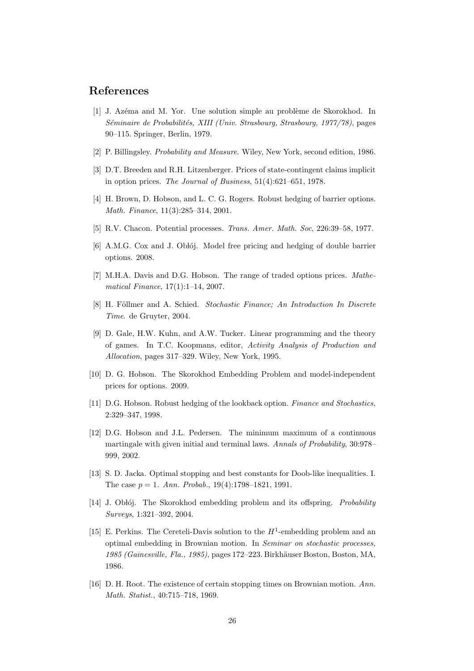### References

- [1] J. Azéma and M. Yor. Une solution simple au problème de Skorokhod. In Séminaire de Probabilités, XIII (Univ. Strasbourg, Strasbourg, 1977/78), pages 90–115. Springer, Berlin, 1979.
- [2] P. Billingsley. Probability and Measure. Wiley, New York, second edition, 1986.
- [3] D.T. Breeden and R.H. Litzenberger. Prices of state-contingent claims implicit in option prices. The Journal of Business, 51(4):621–651, 1978.
- [4] H. Brown, D. Hobson, and L. C. G. Rogers. Robust hedging of barrier options. Math. Finance, 11(3):285–314, 2001.
- [5] R.V. Chacon. Potential processes. Trans. Amer. Math. Soc, 226:39–58, 1977.
- [6] A.M.G. Cox and J. Oblój. Model free pricing and hedging of double barrier options. 2008.
- [7] M.H.A. Davis and D.G. Hobson. The range of traded options prices. Mathematical Finance, 17(1):1–14, 2007.
- [8] H. Föllmer and A. Schied. Stochastic Finance; An Introduction In Discrete Time. de Gruyter, 2004.
- [9] D. Gale, H.W. Kuhn, and A.W. Tucker. Linear programming and the theory of games. In T.C. Koopmans, editor, Activity Analysis of Production and Allocation, pages 317–329. Wiley, New York, 1995.
- [10] D. G. Hobson. The Skorokhod Embedding Problem and model-independent prices for options. 2009.
- [11] D.G. Hobson. Robust hedging of the lookback option. Finance and Stochastics, 2:329–347, 1998.
- [12] D.G. Hobson and J.L. Pedersen. The minimum maximum of a continuous martingale with given initial and terminal laws. Annals of Probability, 30:978– 999, 2002.
- [13] S. D. Jacka. Optimal stopping and best constants for Doob-like inequalities. I. The case  $p = 1$ . Ann. Probab., 19(4):1798-1821, 1991.
- [14] J. Obłój. The Skorokhod embedding problem and its offspring. *Probability* Surveys, 1:321–392, 2004.
- [15] E. Perkins. The Cereteli-Davis solution to the  $H^1$ -embedding problem and an optimal embedding in Brownian motion. In Seminar on stochastic processes, 1985 (Gainesville, Fla., 1985), pages 172–223. Birkhäuser Boston, Boston, MA, 1986.
- [16] D. H. Root. The existence of certain stopping times on Brownian motion. Ann. Math. Statist., 40:715–718, 1969.